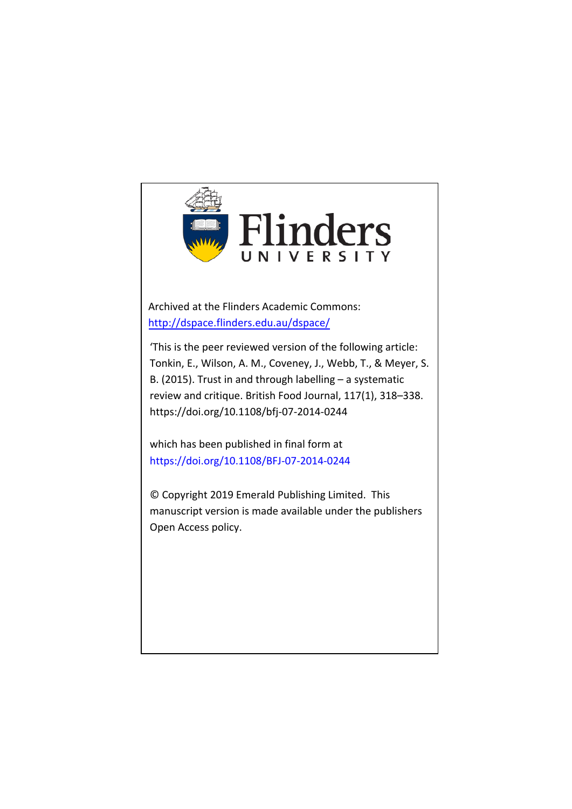

Archived at the Flinders Academic Commons: <http://dspace.flinders.edu.au/dspace/>

'This is the peer reviewed version of the following article: Tonkin, E., Wilson, A. M., Coveney, J., Webb, T., & Meyer, S. B. (2015). Trust in and through labelling – a systematic review and critique. British Food Journal, 117(1), 318–338. https://doi.org/10.1108/bfj-07-2014-0244

which has been published in final form at https://doi.org/10.1108/BFJ-07-2014-0244

© Copyright 2019 Emerald Publishing Limited. This manuscript version is made available under the publishers Open Access policy.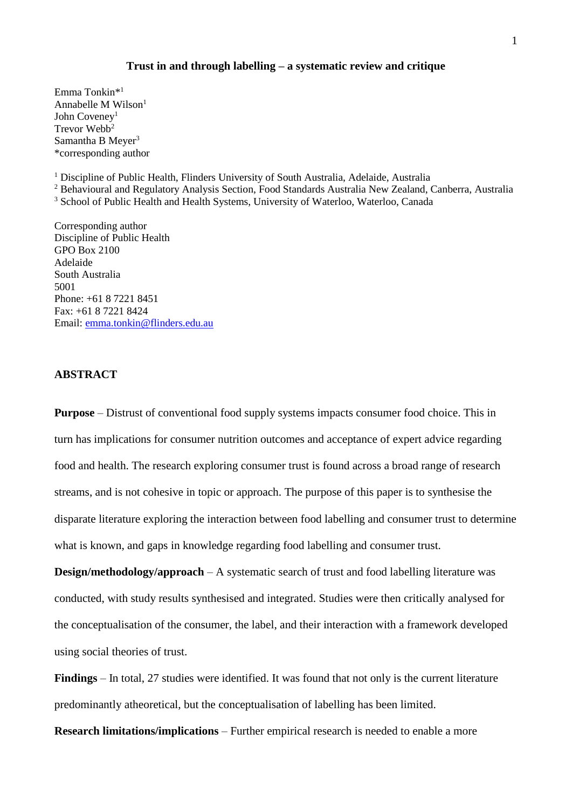### **Trust in and through labelling – a systematic review and critique**

Emma Tonkin\*<sup>1</sup> Annabelle M Wilson<sup>1</sup> John Coveney<sup>1</sup> Trevor Webb<sup>2</sup> Samantha B Meyer<sup>3</sup> \*corresponding author

<sup>1</sup> Discipline of Public Health, Flinders University of South Australia, Adelaide, Australia <sup>2</sup> Behavioural and Regulatory Analysis Section, Food Standards Australia New Zealand, Canberra, Australia <sup>3</sup> School of Public Health and Health Systems, University of Waterloo, Waterloo, Canada

Corresponding author Discipline of Public Health GPO Box 2100 Adelaide South Australia 5001 Phone: +61 8 7221 8451 Fax: +61 8 7221 8424 Email: [emma.tonkin@flinders.edu.au](mailto:emma.tonkin@flinders.edu.au)

# **ABSTRACT**

**Purpose** – Distrust of conventional food supply systems impacts consumer food choice. This in turn has implications for consumer nutrition outcomes and acceptance of expert advice regarding food and health. The research exploring consumer trust is found across a broad range of research streams, and is not cohesive in topic or approach. The purpose of this paper is to synthesise the disparate literature exploring the interaction between food labelling and consumer trust to determine what is known, and gaps in knowledge regarding food labelling and consumer trust.

**Design/methodology/approach** – A systematic search of trust and food labelling literature was conducted, with study results synthesised and integrated. Studies were then critically analysed for the conceptualisation of the consumer, the label, and their interaction with a framework developed using social theories of trust.

**Findings** – In total, 27 studies were identified. It was found that not only is the current literature predominantly atheoretical, but the conceptualisation of labelling has been limited.

**Research limitations/implications** – Further empirical research is needed to enable a more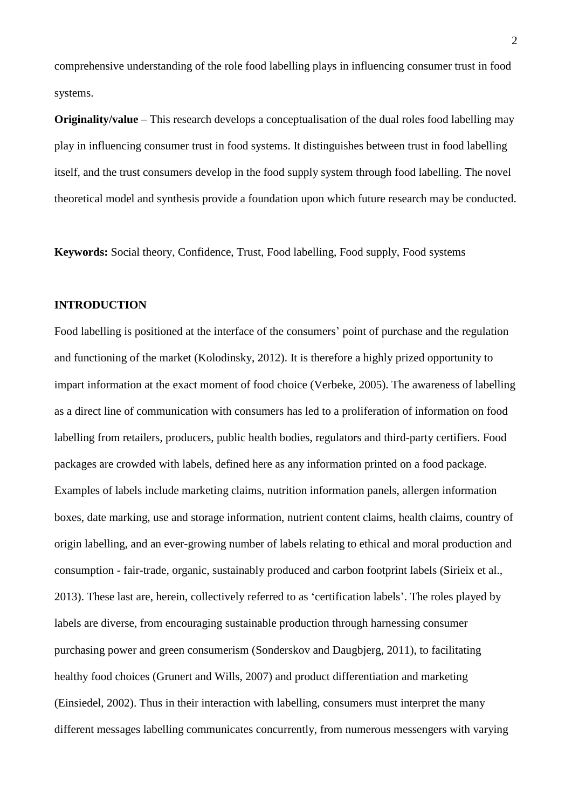comprehensive understanding of the role food labelling plays in influencing consumer trust in food systems.

**Originality/value** – This research develops a conceptualisation of the dual roles food labelling may play in influencing consumer trust in food systems. It distinguishes between trust in food labelling itself, and the trust consumers develop in the food supply system through food labelling. The novel theoretical model and synthesis provide a foundation upon which future research may be conducted.

**Keywords:** Social theory, Confidence, Trust, Food labelling, Food supply, Food systems

# **INTRODUCTION**

Food labelling is positioned at the interface of the consumers' point of purchase and the regulation and functioning of the market [\(Kolodinsky, 2012\)](#page-29-0). It is therefore a highly prized opportunity to impart information at the exact moment of food choice [\(Verbeke, 2005\)](#page-31-0). The awareness of labelling as a direct line of communication with consumers has led to a proliferation of information on food labelling from retailers, producers, public health bodies, regulators and third-party certifiers. Food packages are crowded with labels, defined here as any information printed on a food package. Examples of labels include marketing claims, nutrition information panels, allergen information boxes, date marking, use and storage information, nutrient content claims, health claims, country of origin labelling, and an ever-growing number of labels relating to ethical and moral production and consumption - fair-trade, organic, sustainably produced and carbon footprint labels [\(Sirieix et al.,](#page-31-1)  [2013\)](#page-31-1). These last are, herein, collectively referred to as 'certification labels'. The roles played by labels are diverse, from encouraging sustainable production through harnessing consumer purchasing power and green consumerism [\(Sonderskov and Daugbjerg, 2011\)](#page-31-2), to facilitating healthy food choices [\(Grunert and Wills, 2007\)](#page-28-0) and product differentiation and marketing [\(Einsiedel, 2002\)](#page-27-0). Thus in their interaction with labelling, consumers must interpret the many different messages labelling communicates concurrently, from numerous messengers with varying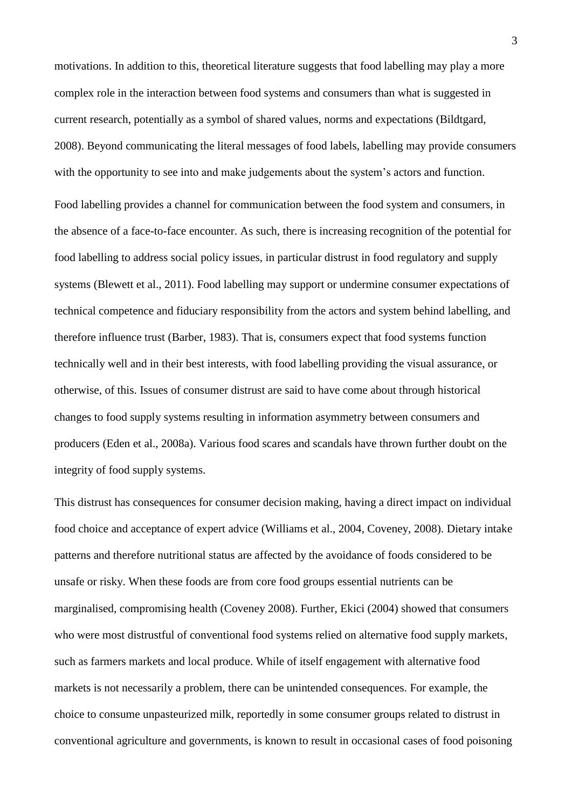motivations. In addition to this, theoretical literature suggests that food labelling may play a more complex role in the interaction between food systems and consumers than what is suggested in current research, potentially as a symbol of shared values, norms and expectations [\(Bildtgard,](#page-26-0)  [2008\)](#page-26-0). Beyond communicating the literal messages of food labels, labelling may provide consumers with the opportunity to see into and make judgements about the system's actors and function. Food labelling provides a channel for communication between the food system and consumers, in the absence of a face-to-face encounter. As such, there is increasing recognition of the potential for food labelling to address social policy issues, in particular distrust in food regulatory and supply systems [\(Blewett et al., 2011\)](#page-27-1). Food labelling may support or undermine consumer expectations of technical competence and fiduciary responsibility from the actors and system behind labelling, and therefore influence trust [\(Barber, 1983\)](#page-26-1). That is, consumers expect that food systems function technically well and in their best interests, with food labelling providing the visual assurance, or otherwise, of this. Issues of consumer distrust are said to have come about through historical changes to food supply systems resulting in information asymmetry between consumers and producers [\(Eden et al., 2008a\)](#page-27-2). Various food scares and scandals have thrown further doubt on the integrity of food supply systems.

This distrust has consequences for consumer decision making, having a direct impact on individual food choice and acceptance of expert advice [\(Williams et al., 2004,](#page-32-0) [Coveney, 2008\)](#page-27-3). Dietary intake patterns and therefore nutritional status are affected by the avoidance of foods considered to be unsafe or risky. When these foods are from core food groups essential nutrients can be marginalised, compromising health (Coveney 2008). Further, [Ekici \(2004\)](#page-28-1) showed that consumers who were most distrustful of conventional food systems relied on alternative food supply markets, such as farmers markets and local produce. While of itself engagement with alternative food markets is not necessarily a problem, there can be unintended consequences. For example, the choice to consume unpasteurized milk, reportedly in some consumer groups related to distrust in conventional agriculture and governments, is known to result in occasional cases of food poisoning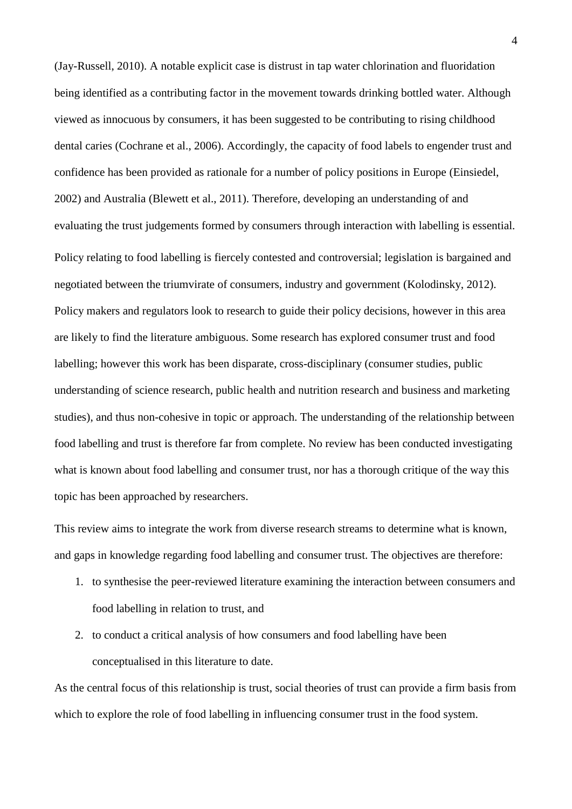[\(Jay-Russell, 2010\)](#page-29-1). A notable explicit case is distrust in tap water chlorination and fluoridation being identified as a contributing factor in the movement towards drinking bottled water. Although viewed as innocuous by consumers, it has been suggested to be contributing to rising childhood dental caries [\(Cochrane et al., 2006\)](#page-27-4). Accordingly, the capacity of food labels to engender trust and confidence has been provided as rationale for a number of policy positions in Europe [\(Einsiedel,](#page-27-0)  [2002\)](#page-27-0) and Australia [\(Blewett et al., 2011\)](#page-27-1). Therefore, developing an understanding of and evaluating the trust judgements formed by consumers through interaction with labelling is essential. Policy relating to food labelling is fiercely contested and controversial; legislation is bargained and negotiated between the triumvirate of consumers, industry and government [\(Kolodinsky, 2012\)](#page-29-0). Policy makers and regulators look to research to guide their policy decisions, however in this area are likely to find the literature ambiguous. Some research has explored consumer trust and food labelling; however this work has been disparate, cross-disciplinary (consumer studies, public understanding of science research, public health and nutrition research and business and marketing studies), and thus non-cohesive in topic or approach. The understanding of the relationship between food labelling and trust is therefore far from complete. No review has been conducted investigating what is known about food labelling and consumer trust, nor has a thorough critique of the way this topic has been approached by researchers.

This review aims to integrate the work from diverse research streams to determine what is known, and gaps in knowledge regarding food labelling and consumer trust. The objectives are therefore:

- 1. to synthesise the peer-reviewed literature examining the interaction between consumers and food labelling in relation to trust, and
- 2. to conduct a critical analysis of how consumers and food labelling have been conceptualised in this literature to date.

As the central focus of this relationship is trust, social theories of trust can provide a firm basis from which to explore the role of food labelling in influencing consumer trust in the food system.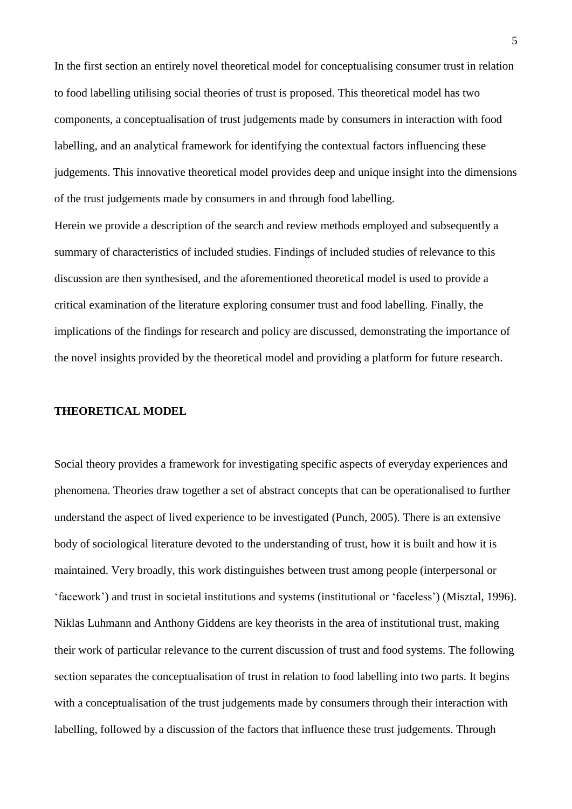In the first section an entirely novel theoretical model for conceptualising consumer trust in relation to food labelling utilising social theories of trust is proposed. This theoretical model has two components, a conceptualisation of trust judgements made by consumers in interaction with food labelling, and an analytical framework for identifying the contextual factors influencing these judgements. This innovative theoretical model provides deep and unique insight into the dimensions of the trust judgements made by consumers in and through food labelling.

Herein we provide a description of the search and review methods employed and subsequently a summary of characteristics of included studies. Findings of included studies of relevance to this discussion are then synthesised, and the aforementioned theoretical model is used to provide a critical examination of the literature exploring consumer trust and food labelling. Finally, the implications of the findings for research and policy are discussed, demonstrating the importance of the novel insights provided by the theoretical model and providing a platform for future research.

### **THEORETICAL MODEL**

Social theory provides a framework for investigating specific aspects of everyday experiences and phenomena. Theories draw together a set of abstract concepts that can be operationalised to further understand the aspect of lived experience to be investigated [\(Punch, 2005\)](#page-30-0). There is an extensive body of sociological literature devoted to the understanding of trust, how it is built and how it is maintained. Very broadly, this work distinguishes between trust among people (interpersonal or 'facework') and trust in societal institutions and systems (institutional or 'faceless') [\(Misztal, 1996\)](#page-30-1). Niklas Luhmann and Anthony Giddens are key theorists in the area of institutional trust, making their work of particular relevance to the current discussion of trust and food systems. The following section separates the conceptualisation of trust in relation to food labelling into two parts. It begins with a conceptualisation of the trust judgements made by consumers through their interaction with labelling, followed by a discussion of the factors that influence these trust judgements. Through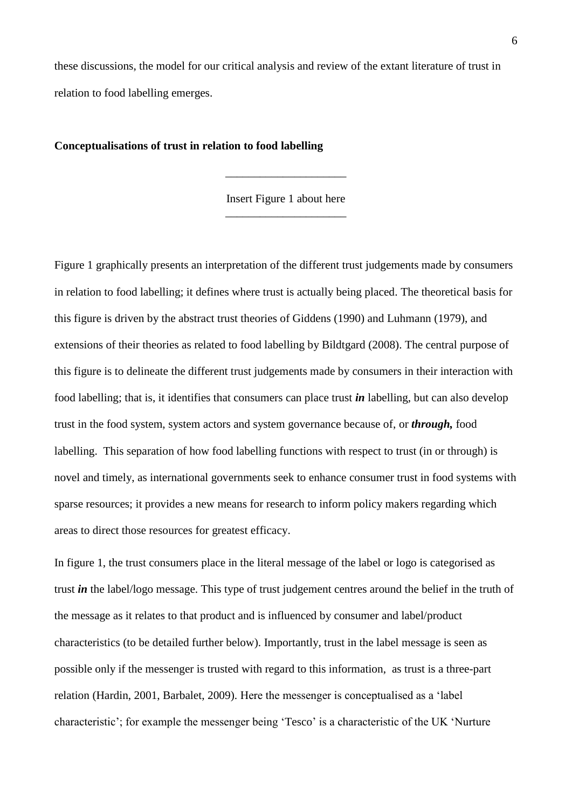these discussions, the model for our critical analysis and review of the extant literature of trust in relation to food labelling emerges.

## **Conceptualisations of trust in relation to food labelling**

Insert Figure 1 about here \_\_\_\_\_\_\_\_\_\_\_\_\_\_\_\_\_\_\_\_\_

\_\_\_\_\_\_\_\_\_\_\_\_\_\_\_\_\_\_\_\_\_

Figure 1 graphically presents an interpretation of the different trust judgements made by consumers in relation to food labelling; it defines where trust is actually being placed. The theoretical basis for this figure is driven by the abstract trust theories of Giddens [\(1990\)](#page-28-2) and Luhmann [\(1979\)](#page-29-2), and extensions of their theories as related to food labelling by Bildtgard [\(2008\)](#page-26-0). The central purpose of this figure is to delineate the different trust judgements made by consumers in their interaction with food labelling; that is, it identifies that consumers can place trust *in* labelling, but can also develop trust in the food system, system actors and system governance because of, or *through,* food labelling. This separation of how food labelling functions with respect to trust (in or through) is novel and timely, as international governments seek to enhance consumer trust in food systems with sparse resources; it provides a new means for research to inform policy makers regarding which areas to direct those resources for greatest efficacy.

In figure 1, the trust consumers place in the literal message of the label or logo is categorised as trust *in* the label/logo message. This type of trust judgement centres around the belief in the truth of the message as it relates to that product and is influenced by consumer and label/product characteristics (to be detailed further below). Importantly, trust in the label message is seen as possible only if the messenger is trusted with regard to this information, as trust is a three-part relation [\(Hardin, 2001,](#page-28-3) [Barbalet, 2009\)](#page-26-2). Here the messenger is conceptualised as a 'label characteristic'; for example the messenger being 'Tesco' is a characteristic of the UK 'Nurture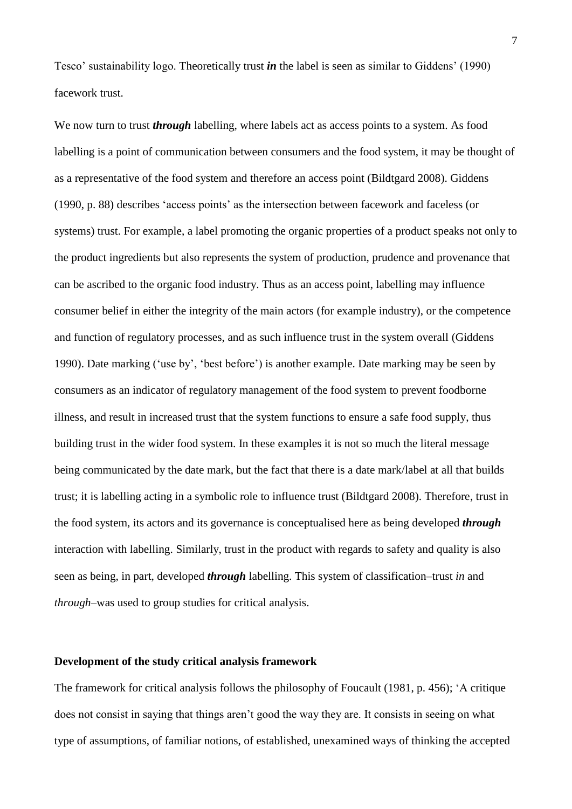Tesco' sustainability logo. Theoretically trust *in* the label is seen as similar to Giddens' (1990) facework trust.

We now turn to trust *through* labelling, where labels act as access points to a system. As food labelling is a point of communication between consumers and the food system, it may be thought of as a representative of the food system and therefore an access point (Bildtgard 2008). Giddens (1990, p. 88) describes 'access points' as the intersection between facework and faceless (or systems) trust. For example, a label promoting the organic properties of a product speaks not only to the product ingredients but also represents the system of production, prudence and provenance that can be ascribed to the organic food industry. Thus as an access point, labelling may influence consumer belief in either the integrity of the main actors (for example industry), or the competence and function of regulatory processes, and as such influence trust in the system overall (Giddens 1990). Date marking ('use by', 'best before') is another example. Date marking may be seen by consumers as an indicator of regulatory management of the food system to prevent foodborne illness, and result in increased trust that the system functions to ensure a safe food supply, thus building trust in the wider food system. In these examples it is not so much the literal message being communicated by the date mark, but the fact that there is a date mark/label at all that builds trust; it is labelling acting in a symbolic role to influence trust (Bildtgard 2008). Therefore, trust in the food system, its actors and its governance is conceptualised here as being developed *through* interaction with labelling. Similarly, trust in the product with regards to safety and quality is also seen as being, in part, developed *through* labelling. This system of classification–trust *in* and *through–*was used to group studies for critical analysis.

## **Development of the study critical analysis framework**

The framework for critical analysis follows the philosophy of Foucault [\(1981, p. 456\)](#page-28-4); 'A critique does not consist in saying that things aren't good the way they are. It consists in seeing on what type of assumptions, of familiar notions, of established, unexamined ways of thinking the accepted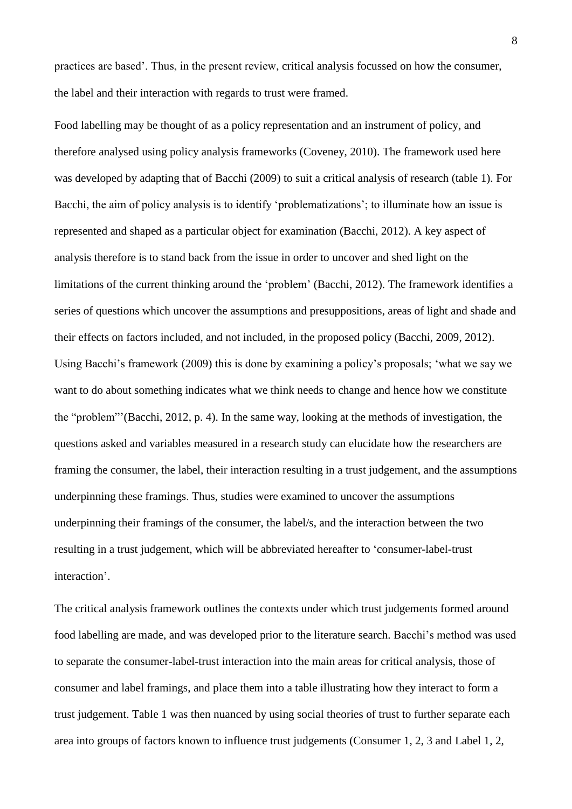practices are based'. Thus, in the present review, critical analysis focussed on how the consumer, the label and their interaction with regards to trust were framed.

Food labelling may be thought of as a policy representation and an instrument of policy, and therefore analysed using policy analysis frameworks [\(Coveney, 2010\)](#page-27-5). The framework used here was developed by adapting that of Bacchi [\(2009\)](#page-26-3) to suit a critical analysis of research (table 1). For Bacchi, the aim of policy analysis is to identify 'problematizations'; to illuminate how an issue is represented and shaped as a particular object for examination [\(Bacchi, 2012\)](#page-26-4). A key aspect of analysis therefore is to stand back from the issue in order to uncover and shed light on the limitations of the current thinking around the 'problem' [\(Bacchi, 2012\)](#page-26-4). The framework identifies a series of questions which uncover the assumptions and presuppositions, areas of light and shade and their effects on factors included, and not included, in the proposed policy [\(Bacchi, 2009,](#page-26-3) [2012\)](#page-26-4). Using Bacchi's framework [\(2009\)](#page-26-3) this is done by examining a policy's proposals; 'what we say we want to do about something indicates what we think needs to change and hence how we constitute the "problem"'[\(Bacchi, 2012, p. 4\)](#page-26-4). In the same way, looking at the methods of investigation, the questions asked and variables measured in a research study can elucidate how the researchers are framing the consumer, the label, their interaction resulting in a trust judgement, and the assumptions underpinning these framings. Thus, studies were examined to uncover the assumptions underpinning their framings of the consumer, the label/s, and the interaction between the two resulting in a trust judgement, which will be abbreviated hereafter to 'consumer-label-trust interaction'.

The critical analysis framework outlines the contexts under which trust judgements formed around food labelling are made, and was developed prior to the literature search. Bacchi's method was used to separate the consumer-label-trust interaction into the main areas for critical analysis, those of consumer and label framings, and place them into a table illustrating how they interact to form a trust judgement. Table 1 was then nuanced by using social theories of trust to further separate each area into groups of factors known to influence trust judgements (Consumer 1, 2, 3 and Label 1, 2,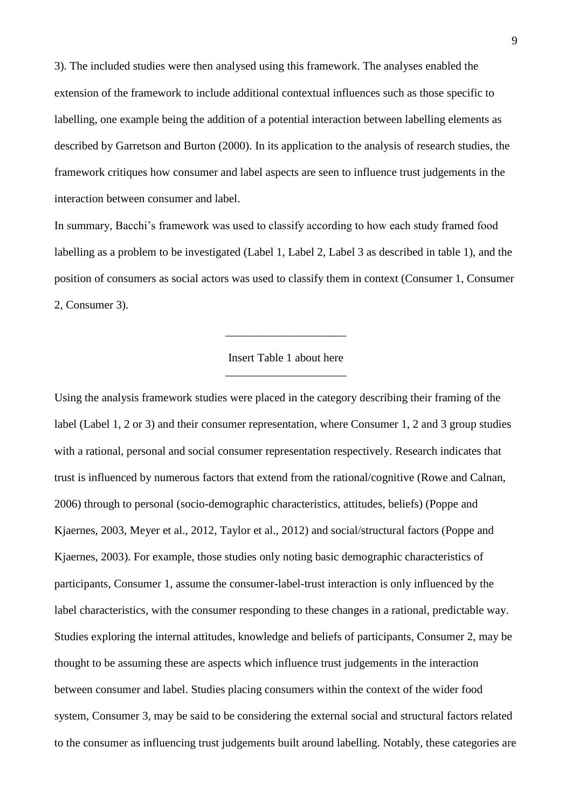3). The included studies were then analysed using this framework. The analyses enabled the extension of the framework to include additional contextual influences such as those specific to labelling, one example being the addition of a potential interaction between labelling elements as described by Garretson and Burton (2000). In its application to the analysis of research studies, the framework critiques how consumer and label aspects are seen to influence trust judgements in the interaction between consumer and label.

In summary, Bacchi's framework was used to classify according to how each study framed food labelling as a problem to be investigated (Label 1, Label 2, Label 3 as described in table 1), and the position of consumers as social actors was used to classify them in context (Consumer 1, Consumer 2, Consumer 3).

# Insert Table 1 about here \_\_\_\_\_\_\_\_\_\_\_\_\_\_\_\_\_\_\_\_\_

\_\_\_\_\_\_\_\_\_\_\_\_\_\_\_\_\_\_\_\_\_

Using the analysis framework studies were placed in the category describing their framing of the label (Label 1, 2 or 3) and their consumer representation, where Consumer 1, 2 and 3 group studies with a rational, personal and social consumer representation respectively. Research indicates that trust is influenced by numerous factors that extend from the rational/cognitive [\(Rowe and Calnan,](#page-30-2)  [2006\)](#page-30-2) through to personal (socio-demographic characteristics, attitudes, beliefs) [\(Poppe and](#page-30-3)  [Kjaernes, 2003,](#page-30-3) [Meyer et al., 2012,](#page-29-3) [Taylor et al., 2012\)](#page-31-3) and social/structural factors [\(Poppe and](#page-30-3)  [Kjaernes, 2003\)](#page-30-3). For example, those studies only noting basic demographic characteristics of participants, Consumer 1, assume the consumer-label-trust interaction is only influenced by the label characteristics, with the consumer responding to these changes in a rational, predictable way. Studies exploring the internal attitudes, knowledge and beliefs of participants, Consumer 2, may be thought to be assuming these are aspects which influence trust judgements in the interaction between consumer and label. Studies placing consumers within the context of the wider food system, Consumer 3, may be said to be considering the external social and structural factors related to the consumer as influencing trust judgements built around labelling. Notably, these categories are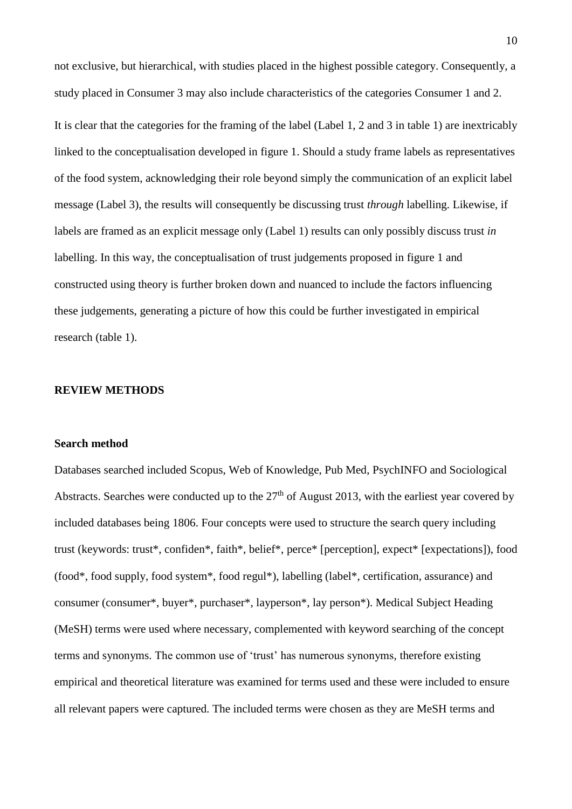not exclusive, but hierarchical, with studies placed in the highest possible category. Consequently, a study placed in Consumer 3 may also include characteristics of the categories Consumer 1 and 2. It is clear that the categories for the framing of the label (Label 1, 2 and 3 in table 1) are inextricably linked to the conceptualisation developed in figure 1. Should a study frame labels as representatives of the food system, acknowledging their role beyond simply the communication of an explicit label message (Label 3), the results will consequently be discussing trust *through* labelling. Likewise, if labels are framed as an explicit message only (Label 1) results can only possibly discuss trust *in*  labelling. In this way, the conceptualisation of trust judgements proposed in figure 1 and constructed using theory is further broken down and nuanced to include the factors influencing these judgements, generating a picture of how this could be further investigated in empirical research (table 1).

### **REVIEW METHODS**

### **Search method**

Databases searched included Scopus, Web of Knowledge, Pub Med, PsychINFO and Sociological Abstracts. Searches were conducted up to the  $27<sup>th</sup>$  of August 2013, with the earliest year covered by included databases being 1806. Four concepts were used to structure the search query including trust (keywords: trust\*, confiden\*, faith\*, belief\*, perce\* [perception], expect\* [expectations]), food (food\*, food supply, food system\*, food regul\*), labelling (label\*, certification, assurance) and consumer (consumer\*, buyer\*, purchaser\*, layperson\*, lay person\*). Medical Subject Heading (MeSH) terms were used where necessary, complemented with keyword searching of the concept terms and synonyms. The common use of 'trust' has numerous synonyms, therefore existing empirical and theoretical literature was examined for terms used and these were included to ensure all relevant papers were captured. The included terms were chosen as they are MeSH terms and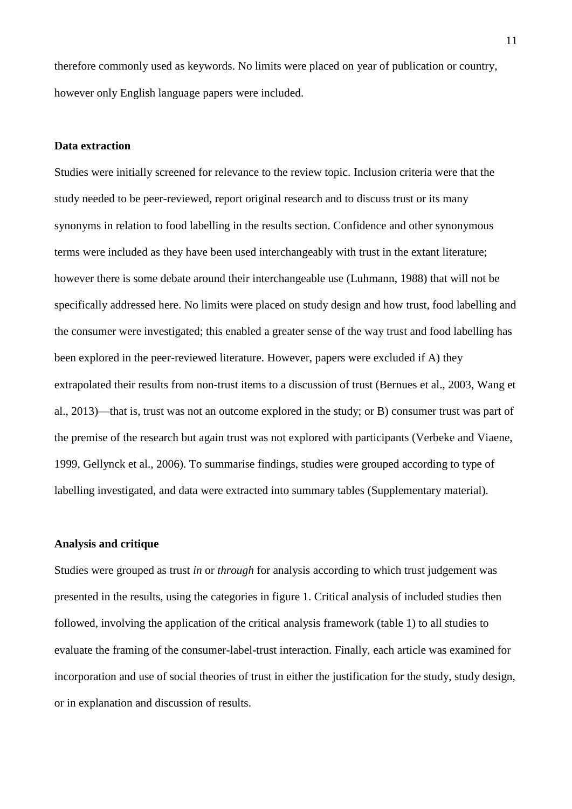therefore commonly used as keywords. No limits were placed on year of publication or country, however only English language papers were included.

# **Data extraction**

Studies were initially screened for relevance to the review topic. Inclusion criteria were that the study needed to be peer-reviewed, report original research and to discuss trust or its many synonyms in relation to food labelling in the results section. Confidence and other synonymous terms were included as they have been used interchangeably with trust in the extant literature; however there is some debate around their interchangeable use [\(Luhmann, 1988\)](#page-29-4) that will not be specifically addressed here. No limits were placed on study design and how trust, food labelling and the consumer were investigated; this enabled a greater sense of the way trust and food labelling has been explored in the peer-reviewed literature. However, papers were excluded if A) they extrapolated their results from non-trust items to a discussion of trust [\(Bernues et al., 2003,](#page-26-5) [Wang et](#page-32-1)  [al., 2013\)](#page-32-1)—that is, trust was not an outcome explored in the study; or B) consumer trust was part of the premise of the research but again trust was not explored with participants [\(Verbeke and Viaene,](#page-31-4)  [1999,](#page-31-4) [Gellynck et al., 2006\)](#page-28-5). To summarise findings, studies were grouped according to type of labelling investigated, and data were extracted into summary tables (Supplementary material).

### **Analysis and critique**

Studies were grouped as trust *in* or *through* for analysis according to which trust judgement was presented in the results, using the categories in figure 1. Critical analysis of included studies then followed, involving the application of the critical analysis framework (table 1) to all studies to evaluate the framing of the consumer-label-trust interaction. Finally, each article was examined for incorporation and use of social theories of trust in either the justification for the study, study design, or in explanation and discussion of results.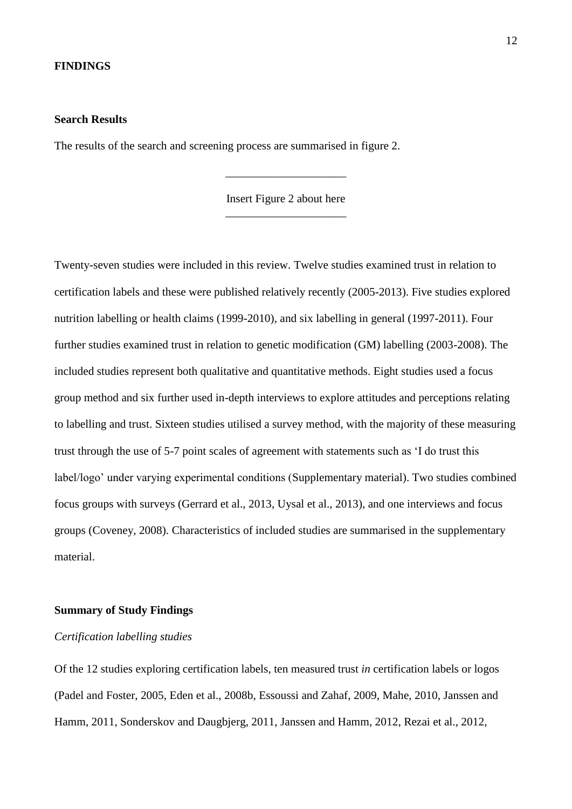### **FINDINGS**

#### **Search Results**

The results of the search and screening process are summarised in figure 2.

Insert Figure 2 about here \_\_\_\_\_\_\_\_\_\_\_\_\_\_\_\_\_\_\_\_\_

\_\_\_\_\_\_\_\_\_\_\_\_\_\_\_\_\_\_\_\_\_

Twenty-seven studies were included in this review. Twelve studies examined trust in relation to certification labels and these were published relatively recently (2005-2013). Five studies explored nutrition labelling or health claims (1999-2010), and six labelling in general (1997-2011). Four further studies examined trust in relation to genetic modification (GM) labelling (2003-2008). The included studies represent both qualitative and quantitative methods. Eight studies used a focus group method and six further used in-depth interviews to explore attitudes and perceptions relating to labelling and trust. Sixteen studies utilised a survey method, with the majority of these measuring trust through the use of 5-7 point scales of agreement with statements such as 'I do trust this label/logo' under varying experimental conditions (Supplementary material). Two studies combined focus groups with surveys [\(Gerrard et al., 2013,](#page-28-6) [Uysal et al., 2013\)](#page-31-5), and one interviews and focus groups [\(Coveney, 2008\)](#page-27-3). Characteristics of included studies are summarised in the supplementary material.

#### **Summary of Study Findings**

# *Certification labelling studies*

Of the 12 studies exploring certification labels, ten measured trust *in* certification labels or logos [\(Padel and Foster, 2005,](#page-30-4) [Eden et al., 2008b,](#page-27-6) [Essoussi and Zahaf, 2009,](#page-28-7) [Mahe, 2010,](#page-29-5) [Janssen and](#page-28-8)  [Hamm, 2011,](#page-28-8) [Sonderskov and Daugbjerg, 2011,](#page-31-2) [Janssen and Hamm, 2012,](#page-29-6) [Rezai et al., 2012,](#page-30-5)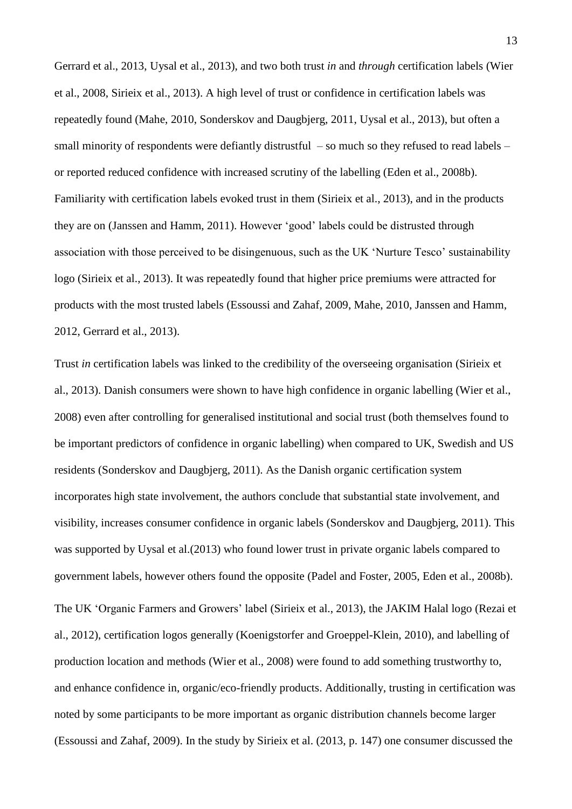[Gerrard et al., 2013,](#page-28-6) [Uysal et al., 2013\)](#page-31-5), and two both trust *in* and *through* certification labels [\(Wier](#page-32-2)  [et al., 2008,](#page-32-2) [Sirieix et al., 2013\)](#page-31-1). A high level of trust or confidence in certification labels was repeatedly found [\(Mahe, 2010,](#page-29-5) [Sonderskov and Daugbjerg, 2011,](#page-31-2) [Uysal et al., 2013\)](#page-31-5), but often a small minority of respondents were defiantly distrustful – so much so they refused to read labels – or reported reduced confidence with increased scrutiny of the labelling [\(Eden et al., 2008b\)](#page-27-6). Familiarity with certification labels evoked trust in them [\(Sirieix et al., 2013\)](#page-31-1), and in the products they are on [\(Janssen and Hamm, 2011\)](#page-28-8). However 'good' labels could be distrusted through association with those perceived to be disingenuous, such as the UK 'Nurture Tesco' sustainability logo [\(Sirieix et al., 2013\)](#page-31-1). It was repeatedly found that higher price premiums were attracted for products with the most trusted labels [\(Essoussi and Zahaf, 2009,](#page-28-7) [Mahe, 2010,](#page-29-5) [Janssen and Hamm,](#page-29-6)  [2012,](#page-29-6) [Gerrard et al., 2013\)](#page-28-6).

Trust *in* certification labels was linked to the credibility of the overseeing organisation [\(Sirieix et](#page-31-1)  [al., 2013\)](#page-31-1). Danish consumers were shown to have high confidence in organic labelling [\(Wier et al.,](#page-32-2)  [2008\)](#page-32-2) even after controlling for generalised institutional and social trust (both themselves found to be important predictors of confidence in organic labelling) when compared to UK, Swedish and US residents [\(Sonderskov and Daugbjerg, 2011\)](#page-31-2). As the Danish organic certification system incorporates high state involvement, the authors conclude that substantial state involvement, and visibility, increases consumer confidence in organic labels [\(Sonderskov and Daugbjerg, 2011\)](#page-31-2). This was supported by Uysal et al.[\(2013\)](#page-31-5) who found lower trust in private organic labels compared to government labels, however others found the opposite [\(Padel and Foster, 2005,](#page-30-4) [Eden et al., 2008b\)](#page-27-6). The UK 'Organic Farmers and Growers' label [\(Sirieix et al., 2013\)](#page-31-1), the JAKIM Halal logo [\(Rezai et](#page-30-5)  [al., 2012\)](#page-30-5), certification logos generally [\(Koenigstorfer and Groeppel-Klein, 2010\)](#page-29-7), and labelling of production location and methods [\(Wier et al., 2008\)](#page-32-2) were found to add something trustworthy to, and enhance confidence in, organic/eco-friendly products. Additionally, trusting in certification was noted by some participants to be more important as organic distribution channels become larger [\(Essoussi and Zahaf, 2009\)](#page-28-7). In the study by Sirieix et al. [\(2013, p. 147\)](#page-31-1) one consumer discussed the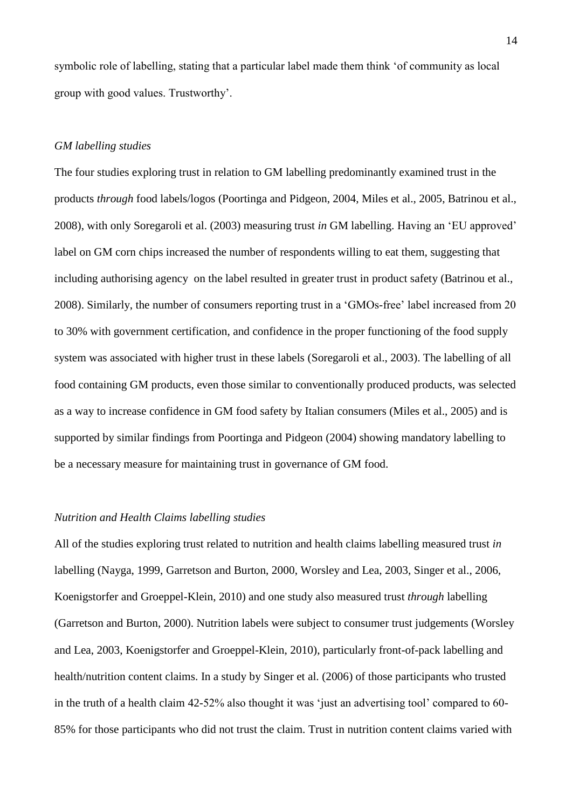symbolic role of labelling, stating that a particular label made them think 'of community as local group with good values. Trustworthy'.

### *GM labelling studies*

The four studies exploring trust in relation to GM labelling predominantly examined trust in the products *through* food labels/logos [\(Poortinga and Pidgeon, 2004,](#page-30-6) [Miles et al., 2005,](#page-30-7) [Batrinou et al.,](#page-26-6)  [2008\)](#page-26-6), with only Soregaroli et al. [\(2003\)](#page-31-6) measuring trust *in* GM labelling. Having an 'EU approved' label on GM corn chips increased the number of respondents willing to eat them, suggesting that including authorising agency on the label resulted in greater trust in product safety [\(Batrinou et al.,](#page-26-6)  [2008\)](#page-26-6). Similarly, the number of consumers reporting trust in a 'GMOs-free' label increased from 20 to 30% with government certification, and confidence in the proper functioning of the food supply system was associated with higher trust in these labels [\(Soregaroli et al., 2003\)](#page-31-6). The labelling of all food containing GM products, even those similar to conventionally produced products, was selected as a way to increase confidence in GM food safety by Italian consumers [\(Miles et al., 2005\)](#page-30-7) and is supported by similar findings from Poortinga and Pidgeon [\(2004\)](#page-30-6) showing mandatory labelling to be a necessary measure for maintaining trust in governance of GM food.

#### *Nutrition and Health Claims labelling studies*

All of the studies exploring trust related to nutrition and health claims labelling measured trust *in*  labelling [\(Nayga, 1999,](#page-30-8) [Garretson and Burton, 2000,](#page-28-9) [Worsley and Lea, 2003,](#page-32-3) [Singer et al., 2006,](#page-31-7) [Koenigstorfer and Groeppel-Klein, 2010\)](#page-29-7) and one study also measured trust *through* labelling [\(Garretson and Burton, 2000\)](#page-28-9). Nutrition labels were subject to consumer trust judgements [\(Worsley](#page-32-3)  [and Lea, 2003,](#page-32-3) [Koenigstorfer and Groeppel-Klein, 2010\)](#page-29-7), particularly front-of-pack labelling and health/nutrition content claims. In a study by Singer et al. [\(2006\)](#page-31-7) of those participants who trusted in the truth of a health claim 42-52% also thought it was 'just an advertising tool' compared to 60- 85% for those participants who did not trust the claim. Trust in nutrition content claims varied with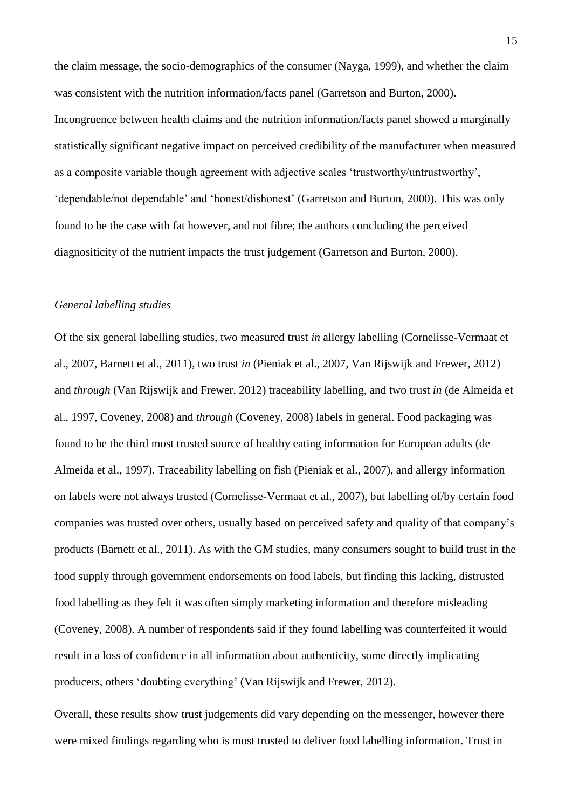the claim message, the socio-demographics of the consumer [\(Nayga, 1999\)](#page-30-8), and whether the claim was consistent with the nutrition information/facts panel [\(Garretson and Burton, 2000\)](#page-28-9). Incongruence between health claims and the nutrition information/facts panel showed a marginally statistically significant negative impact on perceived credibility of the manufacturer when measured as a composite variable though agreement with adjective scales 'trustworthy/untrustworthy', 'dependable/not dependable' and 'honest/dishonest' [\(Garretson and Burton, 2000\)](#page-28-9). This was only found to be the case with fat however, and not fibre; the authors concluding the perceived diagnositicity of the nutrient impacts the trust judgement [\(Garretson and Burton, 2000\)](#page-28-9).

# *General labelling studies*

Of the six general labelling studies, two measured trust *in* allergy labelling [\(Cornelisse-Vermaat et](#page-27-7)  [al., 2007,](#page-27-7) [Barnett et al., 2011\)](#page-26-7), two trust *in* [\(Pieniak et al., 2007,](#page-30-9) [Van Rijswijk and Frewer, 2012\)](#page-31-8) and *through* [\(Van Rijswijk and Frewer, 2012\)](#page-31-8) traceability labelling, and two trust *in* [\(de Almeida et](#page-27-8)  [al., 1997,](#page-27-8) [Coveney, 2008\)](#page-27-3) and *through* [\(Coveney, 2008\)](#page-27-3) labels in general. Food packaging was found to be the third most trusted source of healthy eating information for European adults [\(de](#page-27-8)  [Almeida et al., 1997\)](#page-27-8). Traceability labelling on fish [\(Pieniak et al., 2007\)](#page-30-9), and allergy information on labels were not always trusted [\(Cornelisse-Vermaat et al., 2007\)](#page-27-7), but labelling of/by certain food companies was trusted over others, usually based on perceived safety and quality of that company's products [\(Barnett et al., 2011\)](#page-26-7). As with the GM studies, many consumers sought to build trust in the food supply through government endorsements on food labels, but finding this lacking, distrusted food labelling as they felt it was often simply marketing information and therefore misleading [\(Coveney, 2008\)](#page-27-3). A number of respondents said if they found labelling was counterfeited it would result in a loss of confidence in all information about authenticity, some directly implicating producers, others 'doubting everything' [\(Van Rijswijk and Frewer, 2012\)](#page-31-8).

Overall, these results show trust judgements did vary depending on the messenger, however there were mixed findings regarding who is most trusted to deliver food labelling information. Trust in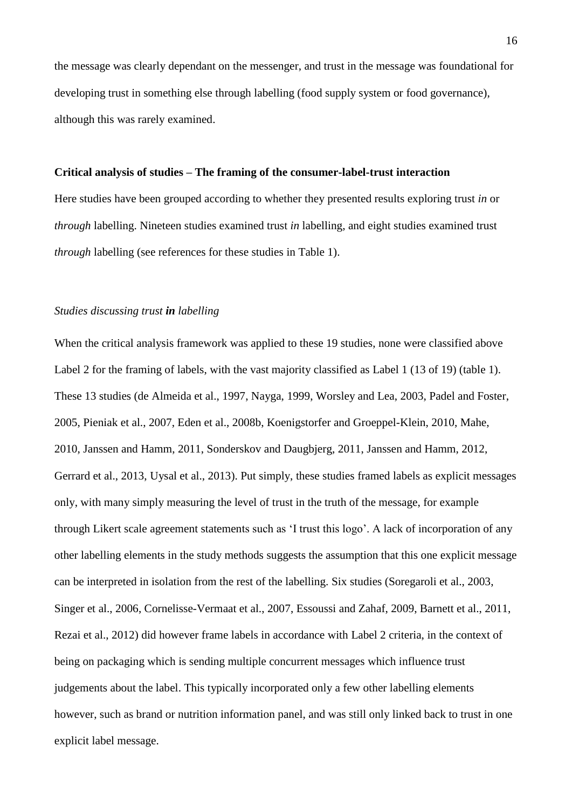the message was clearly dependant on the messenger, and trust in the message was foundational for developing trust in something else through labelling (food supply system or food governance), although this was rarely examined.

#### **Critical analysis of studies – The framing of the consumer-label-trust interaction**

Here studies have been grouped according to whether they presented results exploring trust *in* or *through* labelling. Nineteen studies examined trust *in* labelling, and eight studies examined trust *through* labelling (see references for these studies in Table 1).

# *Studies discussing trust in labelling*

When the critical analysis framework was applied to these 19 studies, none were classified above Label 2 for the framing of labels, with the vast majority classified as Label 1 (13 of 19) (table 1). These 13 studies [\(de Almeida et al., 1997,](#page-27-8) [Nayga, 1999,](#page-30-8) [Worsley and Lea, 2003,](#page-32-3) [Padel and Foster,](#page-30-4)  [2005,](#page-30-4) [Pieniak et al., 2007,](#page-30-9) [Eden et al., 2008b,](#page-27-6) [Koenigstorfer and Groeppel-Klein, 2010,](#page-29-7) [Mahe,](#page-29-5)  [2010,](#page-29-5) [Janssen and Hamm, 2011,](#page-28-8) [Sonderskov and Daugbjerg, 2011,](#page-31-2) [Janssen and Hamm, 2012,](#page-29-6) [Gerrard et al., 2013,](#page-28-6) [Uysal et al., 2013\)](#page-31-5). Put simply, these studies framed labels as explicit messages only, with many simply measuring the level of trust in the truth of the message, for example through Likert scale agreement statements such as 'I trust this logo'. A lack of incorporation of any other labelling elements in the study methods suggests the assumption that this one explicit message can be interpreted in isolation from the rest of the labelling. Six studies [\(Soregaroli et al., 2003,](#page-31-6) [Singer et al., 2006,](#page-31-7) [Cornelisse-Vermaat et al., 2007,](#page-27-7) [Essoussi and Zahaf, 2009,](#page-28-7) [Barnett et al., 2011,](#page-26-7) [Rezai et al., 2012\)](#page-30-5) did however frame labels in accordance with Label 2 criteria, in the context of being on packaging which is sending multiple concurrent messages which influence trust judgements about the label. This typically incorporated only a few other labelling elements however, such as brand or nutrition information panel, and was still only linked back to trust in one explicit label message.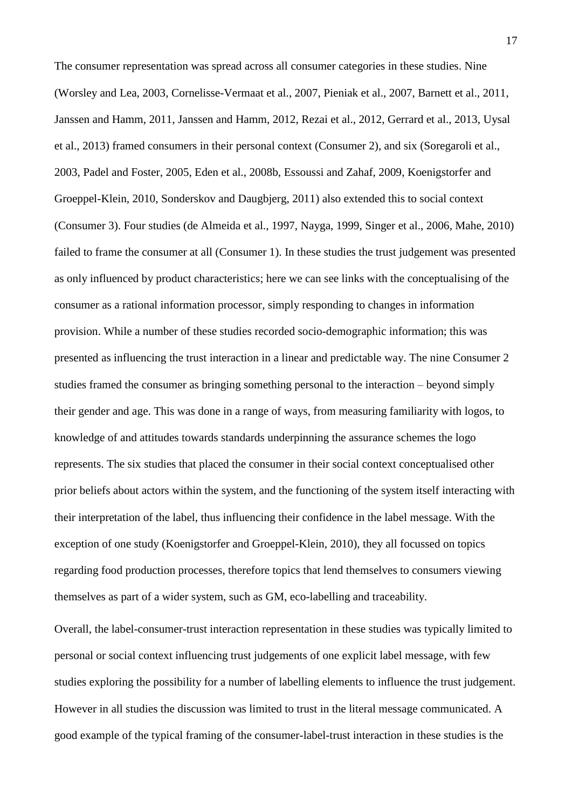The consumer representation was spread across all consumer categories in these studies. Nine [\(Worsley and Lea, 2003,](#page-32-3) [Cornelisse-Vermaat et al., 2007,](#page-27-7) [Pieniak et al., 2007,](#page-30-9) [Barnett et al., 2011,](#page-26-7) [Janssen and Hamm, 2011,](#page-28-8) [Janssen and Hamm, 2012,](#page-29-6) [Rezai et al., 2012,](#page-30-5) [Gerrard et al., 2013,](#page-28-6) [Uysal](#page-31-5)  [et al., 2013\)](#page-31-5) framed consumers in their personal context (Consumer 2), and six [\(Soregaroli et al.,](#page-31-6)  [2003,](#page-31-6) [Padel and Foster, 2005,](#page-30-4) [Eden et al., 2008b,](#page-27-6) [Essoussi and Zahaf, 2009,](#page-28-7) [Koenigstorfer and](#page-29-7)  [Groeppel-Klein, 2010,](#page-29-7) [Sonderskov and Daugbjerg, 2011\)](#page-31-2) also extended this to social context (Consumer 3). Four studies [\(de Almeida et al., 1997,](#page-27-8) [Nayga, 1999,](#page-30-8) [Singer et al., 2006,](#page-31-7) [Mahe, 2010\)](#page-29-5) failed to frame the consumer at all (Consumer 1). In these studies the trust judgement was presented as only influenced by product characteristics; here we can see links with the conceptualising of the consumer as a rational information processor, simply responding to changes in information provision. While a number of these studies recorded socio-demographic information; this was presented as influencing the trust interaction in a linear and predictable way. The nine Consumer 2 studies framed the consumer as bringing something personal to the interaction – beyond simply their gender and age. This was done in a range of ways, from measuring familiarity with logos, to knowledge of and attitudes towards standards underpinning the assurance schemes the logo represents. The six studies that placed the consumer in their social context conceptualised other prior beliefs about actors within the system, and the functioning of the system itself interacting with their interpretation of the label, thus influencing their confidence in the label message. With the exception of one study [\(Koenigstorfer and Groeppel-Klein, 2010\)](#page-29-7), they all focussed on topics regarding food production processes, therefore topics that lend themselves to consumers viewing themselves as part of a wider system, such as GM, eco-labelling and traceability.

Overall, the label-consumer-trust interaction representation in these studies was typically limited to personal or social context influencing trust judgements of one explicit label message, with few studies exploring the possibility for a number of labelling elements to influence the trust judgement. However in all studies the discussion was limited to trust in the literal message communicated. A good example of the typical framing of the consumer-label-trust interaction in these studies is the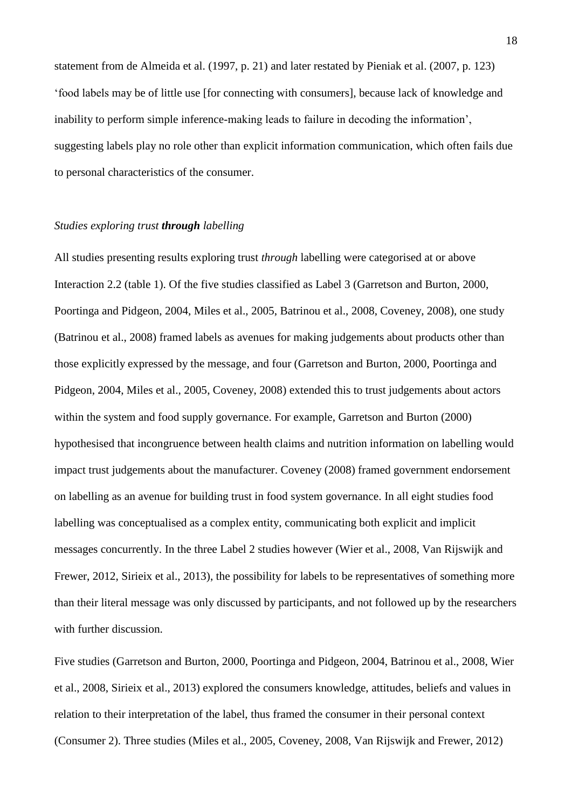statement from de Almeida et al. [\(1997, p. 21\)](#page-27-8) and later restated by Pieniak et al. [\(2007, p. 123\)](#page-30-9) 'food labels may be of little use [for connecting with consumers], because lack of knowledge and inability to perform simple inference-making leads to failure in decoding the information', suggesting labels play no role other than explicit information communication, which often fails due to personal characteristics of the consumer.

### *Studies exploring trust through labelling*

All studies presenting results exploring trust *through* labelling were categorised at or above Interaction 2.2 (table 1). Of the five studies classified as Label 3 [\(Garretson and Burton, 2000,](#page-28-9) [Poortinga and Pidgeon, 2004,](#page-30-6) [Miles et al., 2005,](#page-30-7) [Batrinou et al., 2008,](#page-26-6) [Coveney, 2008\)](#page-27-3), one study [\(Batrinou et al., 2008\)](#page-26-6) framed labels as avenues for making judgements about products other than those explicitly expressed by the message, and four [\(Garretson and Burton, 2000,](#page-28-9) [Poortinga and](#page-30-6)  [Pidgeon, 2004,](#page-30-6) [Miles et al., 2005,](#page-30-7) [Coveney, 2008\)](#page-27-3) extended this to trust judgements about actors within the system and food supply governance. For example, Garretson and Burton [\(2000\)](#page-28-9) hypothesised that incongruence between health claims and nutrition information on labelling would impact trust judgements about the manufacturer. Coveney [\(2008\)](#page-27-3) framed government endorsement on labelling as an avenue for building trust in food system governance. In all eight studies food labelling was conceptualised as a complex entity, communicating both explicit and implicit messages concurrently. In the three Label 2 studies however [\(Wier et al., 2008,](#page-32-2) [Van Rijswijk and](#page-31-8)  [Frewer, 2012,](#page-31-8) [Sirieix et al., 2013\)](#page-31-1), the possibility for labels to be representatives of something more than their literal message was only discussed by participants, and not followed up by the researchers with further discussion.

Five studies [\(Garretson and Burton, 2000,](#page-28-9) [Poortinga and Pidgeon, 2004,](#page-30-6) [Batrinou et al., 2008,](#page-26-6) [Wier](#page-32-2)  [et al., 2008,](#page-32-2) [Sirieix et al., 2013\)](#page-31-1) explored the consumers knowledge, attitudes, beliefs and values in relation to their interpretation of the label, thus framed the consumer in their personal context (Consumer 2). Three studies [\(Miles et al., 2005,](#page-30-7) [Coveney, 2008,](#page-27-3) [Van Rijswijk and Frewer, 2012\)](#page-31-8)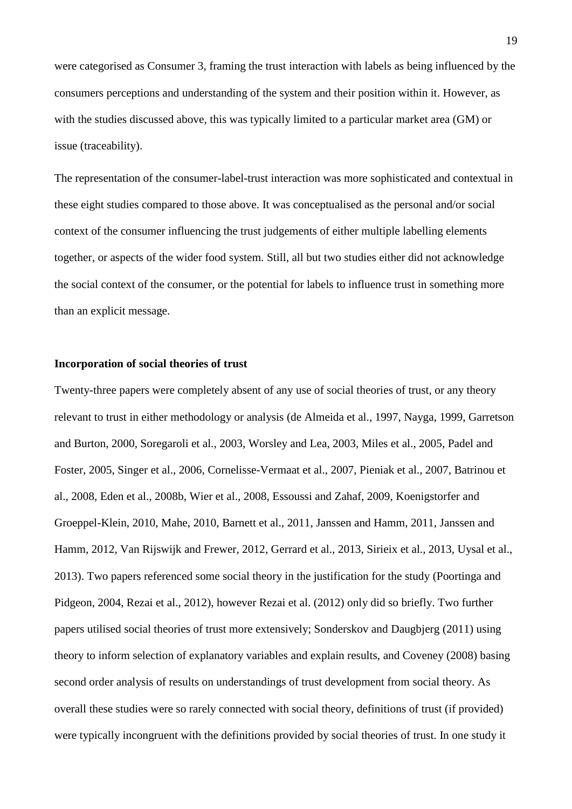were categorised as Consumer 3, framing the trust interaction with labels as being influenced by the consumers perceptions and understanding of the system and their position within it. However, as with the studies discussed above, this was typically limited to a particular market area (GM) or issue (traceability).

The representation of the consumer-label-trust interaction was more sophisticated and contextual in these eight studies compared to those above. It was conceptualised as the personal and/or social context of the consumer influencing the trust judgements of either multiple labelling elements together, or aspects of the wider food system. Still, all but two studies either did not acknowledge the social context of the consumer, or the potential for labels to influence trust in something more than an explicit message.

### **Incorporation of social theories of trust**

Twenty-three papers were completely absent of any use of social theories of trust, or any theory relevant to trust in either methodology or analysis [\(de Almeida et al., 1997,](#page-27-8) [Nayga, 1999,](#page-30-8) [Garretson](#page-28-9)  [and Burton, 2000,](#page-28-9) [Soregaroli et al., 2003,](#page-31-6) [Worsley and Lea, 2003,](#page-32-3) [Miles et al., 2005,](#page-30-7) [Padel and](#page-30-4)  [Foster, 2005,](#page-30-4) [Singer et al., 2006,](#page-31-7) [Cornelisse-Vermaat et al., 2007,](#page-27-7) [Pieniak et al., 2007,](#page-30-9) [Batrinou et](#page-26-6)  [al., 2008,](#page-26-6) [Eden et al., 2008b,](#page-27-6) [Wier et al., 2008,](#page-32-2) [Essoussi and Zahaf, 2009,](#page-28-7) [Koenigstorfer and](#page-29-7)  [Groeppel-Klein, 2010,](#page-29-7) [Mahe, 2010,](#page-29-5) [Barnett et al., 2011,](#page-26-7) [Janssen and Hamm, 2011,](#page-28-8) [Janssen and](#page-29-6)  [Hamm, 2012,](#page-29-6) [Van Rijswijk and Frewer, 2012,](#page-31-8) [Gerrard et al., 2013,](#page-28-6) [Sirieix et al., 2013,](#page-31-1) [Uysal et al.,](#page-31-5)  [2013\)](#page-31-5). Two papers referenced some social theory in the justification for the study [\(Poortinga and](#page-30-6)  [Pidgeon, 2004,](#page-30-6) [Rezai et al., 2012\)](#page-30-5), however Rezai et al. [\(2012\)](#page-30-5) only did so briefly. Two further papers utilised social theories of trust more extensively; Sonderskov and Daugbjerg [\(2011\)](#page-31-2) using theory to inform selection of explanatory variables and explain results, and Coveney [\(2008\)](#page-27-3) basing second order analysis of results on understandings of trust development from social theory. As overall these studies were so rarely connected with social theory, definitions of trust (if provided) were typically incongruent with the definitions provided by social theories of trust. In one study it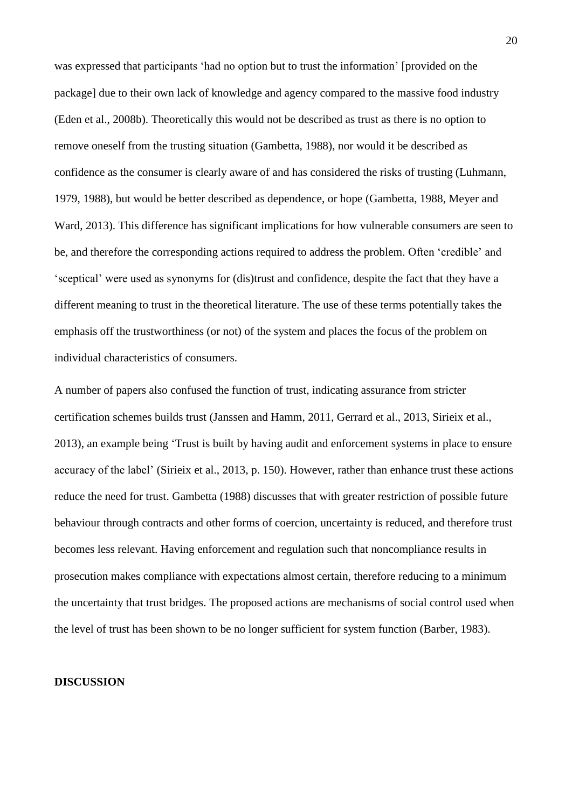was expressed that participants 'had no option but to trust the information' [provided on the package] due to their own lack of knowledge and agency compared to the massive food industry [\(Eden et al., 2008b\)](#page-27-6). Theoretically this would not be described as trust as there is no option to remove oneself from the trusting situation [\(Gambetta, 1988\)](#page-28-10), nor would it be described as confidence as the consumer is clearly aware of and has considered the risks of trusting [\(Luhmann,](#page-29-2)  [1979,](#page-29-2) [1988\)](#page-29-4), but would be better described as dependence, or hope [\(Gambetta, 1988,](#page-28-10) [Meyer and](#page-30-10)  [Ward, 2013\)](#page-30-10). This difference has significant implications for how vulnerable consumers are seen to be, and therefore the corresponding actions required to address the problem. Often 'credible' and 'sceptical' were used as synonyms for (dis)trust and confidence, despite the fact that they have a different meaning to trust in the theoretical literature. The use of these terms potentially takes the emphasis off the trustworthiness (or not) of the system and places the focus of the problem on individual characteristics of consumers.

A number of papers also confused the function of trust, indicating assurance from stricter certification schemes builds trust [\(Janssen and Hamm, 2011,](#page-28-8) [Gerrard et al., 2013,](#page-28-6) [Sirieix et al.,](#page-31-1)  [2013\)](#page-31-1), an example being 'Trust is built by having audit and enforcement systems in place to ensure accuracy of the label' [\(Sirieix et al., 2013, p. 150\)](#page-31-1). However, rather than enhance trust these actions reduce the need for trust. Gambetta [\(1988\)](#page-28-10) discusses that with greater restriction of possible future behaviour through contracts and other forms of coercion, uncertainty is reduced, and therefore trust becomes less relevant. Having enforcement and regulation such that noncompliance results in prosecution makes compliance with expectations almost certain, therefore reducing to a minimum the uncertainty that trust bridges. The proposed actions are mechanisms of social control used when the level of trust has been shown to be no longer sufficient for system function [\(Barber, 1983\)](#page-26-1).

#### **DISCUSSION**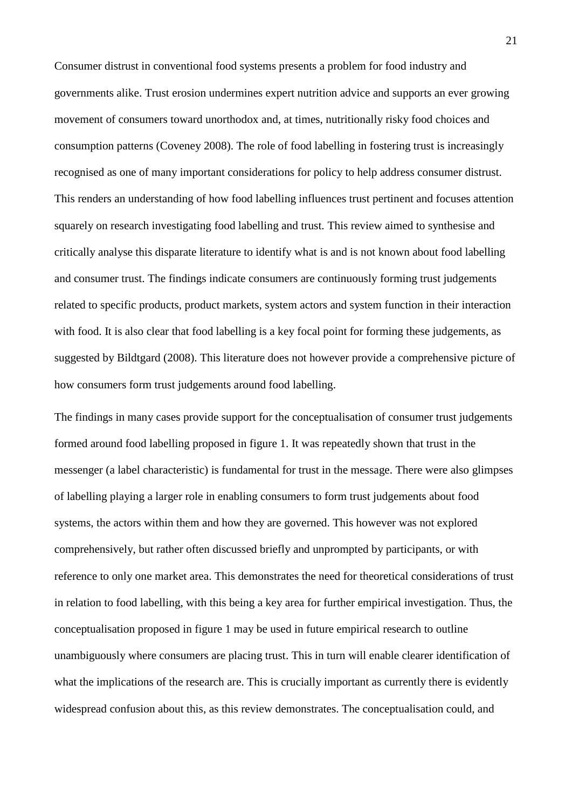Consumer distrust in conventional food systems presents a problem for food industry and governments alike. Trust erosion undermines expert nutrition advice and supports an ever growing movement of consumers toward unorthodox and, at times, nutritionally risky food choices and consumption patterns (Coveney 2008). The role of food labelling in fostering trust is increasingly recognised as one of many important considerations for policy to help address consumer distrust. This renders an understanding of how food labelling influences trust pertinent and focuses attention squarely on research investigating food labelling and trust. This review aimed to synthesise and critically analyse this disparate literature to identify what is and is not known about food labelling and consumer trust. The findings indicate consumers are continuously forming trust judgements related to specific products, product markets, system actors and system function in their interaction with food. It is also clear that food labelling is a key focal point for forming these judgements, as suggested by Bildtgard [\(2008\)](#page-26-0). This literature does not however provide a comprehensive picture of how consumers form trust judgements around food labelling.

The findings in many cases provide support for the conceptualisation of consumer trust judgements formed around food labelling proposed in figure 1. It was repeatedly shown that trust in the messenger (a label characteristic) is fundamental for trust in the message. There were also glimpses of labelling playing a larger role in enabling consumers to form trust judgements about food systems, the actors within them and how they are governed. This however was not explored comprehensively, but rather often discussed briefly and unprompted by participants, or with reference to only one market area. This demonstrates the need for theoretical considerations of trust in relation to food labelling, with this being a key area for further empirical investigation. Thus, the conceptualisation proposed in figure 1 may be used in future empirical research to outline unambiguously where consumers are placing trust. This in turn will enable clearer identification of what the implications of the research are. This is crucially important as currently there is evidently widespread confusion about this, as this review demonstrates. The conceptualisation could, and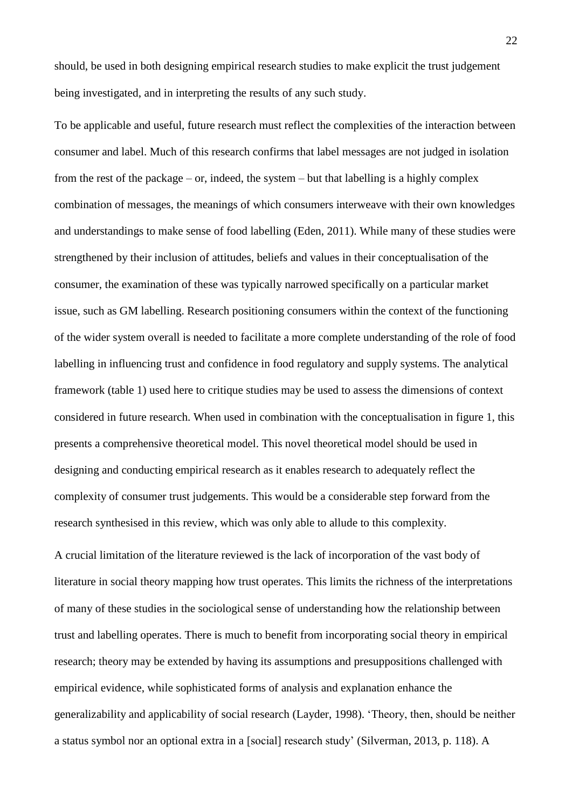should, be used in both designing empirical research studies to make explicit the trust judgement being investigated, and in interpreting the results of any such study.

To be applicable and useful, future research must reflect the complexities of the interaction between consumer and label. Much of this research confirms that label messages are not judged in isolation from the rest of the package – or, indeed, the system – but that labelling is a highly complex combination of messages, the meanings of which consumers interweave with their own knowledges and understandings to make sense of food labelling [\(Eden, 2011\)](#page-27-9). While many of these studies were strengthened by their inclusion of attitudes, beliefs and values in their conceptualisation of the consumer, the examination of these was typically narrowed specifically on a particular market issue, such as GM labelling. Research positioning consumers within the context of the functioning of the wider system overall is needed to facilitate a more complete understanding of the role of food labelling in influencing trust and confidence in food regulatory and supply systems. The analytical framework (table 1) used here to critique studies may be used to assess the dimensions of context considered in future research. When used in combination with the conceptualisation in figure 1, this presents a comprehensive theoretical model. This novel theoretical model should be used in designing and conducting empirical research as it enables research to adequately reflect the complexity of consumer trust judgements. This would be a considerable step forward from the research synthesised in this review, which was only able to allude to this complexity.

A crucial limitation of the literature reviewed is the lack of incorporation of the vast body of literature in social theory mapping how trust operates. This limits the richness of the interpretations of many of these studies in the sociological sense of understanding how the relationship between trust and labelling operates. There is much to benefit from incorporating social theory in empirical research; theory may be extended by having its assumptions and presuppositions challenged with empirical evidence, while sophisticated forms of analysis and explanation enhance the generalizability and applicability of social research [\(Layder, 1998\)](#page-29-8). 'Theory, then, should be neither a status symbol nor an optional extra in a [social] research study' [\(Silverman, 2013, p. 118\)](#page-30-11). A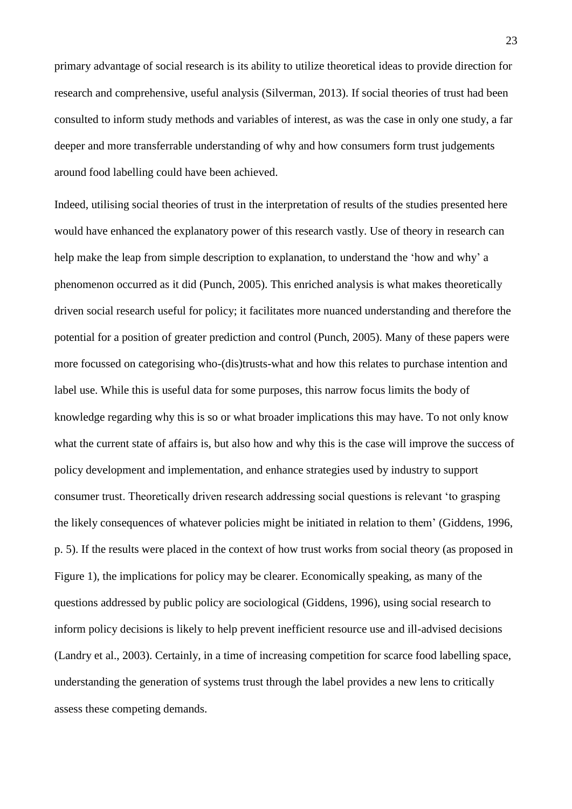primary advantage of social research is its ability to utilize theoretical ideas to provide direction for research and comprehensive, useful analysis [\(Silverman, 2013\)](#page-30-11). If social theories of trust had been consulted to inform study methods and variables of interest, as was the case in only one study, a far deeper and more transferrable understanding of why and how consumers form trust judgements around food labelling could have been achieved.

Indeed, utilising social theories of trust in the interpretation of results of the studies presented here would have enhanced the explanatory power of this research vastly. Use of theory in research can help make the leap from simple description to explanation, to understand the 'how and why' a phenomenon occurred as it did [\(Punch, 2005\)](#page-30-0). This enriched analysis is what makes theoretically driven social research useful for policy; it facilitates more nuanced understanding and therefore the potential for a position of greater prediction and control [\(Punch, 2005\)](#page-30-0). Many of these papers were more focussed on categorising who-(dis)trusts-what and how this relates to purchase intention and label use. While this is useful data for some purposes, this narrow focus limits the body of knowledge regarding why this is so or what broader implications this may have. To not only know what the current state of affairs is, but also how and why this is the case will improve the success of policy development and implementation, and enhance strategies used by industry to support consumer trust. Theoretically driven research addressing social questions is relevant 'to grasping the likely consequences of whatever policies might be initiated in relation to them' [\(Giddens, 1996,](#page-28-11)  [p. 5\)](#page-28-11). If the results were placed in the context of how trust works from social theory (as proposed in Figure 1), the implications for policy may be clearer. Economically speaking, as many of the questions addressed by public policy are sociological [\(Giddens, 1996\)](#page-28-11), using social research to inform policy decisions is likely to help prevent inefficient resource use and ill-advised decisions [\(Landry et al., 2003\)](#page-29-9). Certainly, in a time of increasing competition for scarce food labelling space, understanding the generation of systems trust through the label provides a new lens to critically assess these competing demands.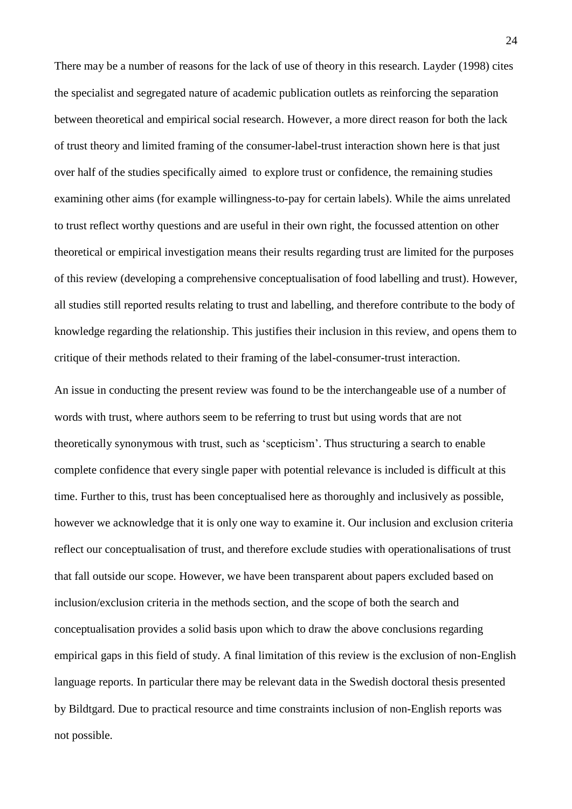There may be a number of reasons for the lack of use of theory in this research. Layder [\(1998\)](#page-29-8) cites the specialist and segregated nature of academic publication outlets as reinforcing the separation between theoretical and empirical social research. However, a more direct reason for both the lack of trust theory and limited framing of the consumer-label-trust interaction shown here is that just over half of the studies specifically aimed to explore trust or confidence, the remaining studies examining other aims (for example willingness-to-pay for certain labels). While the aims unrelated to trust reflect worthy questions and are useful in their own right, the focussed attention on other theoretical or empirical investigation means their results regarding trust are limited for the purposes of this review (developing a comprehensive conceptualisation of food labelling and trust). However, all studies still reported results relating to trust and labelling, and therefore contribute to the body of knowledge regarding the relationship. This justifies their inclusion in this review, and opens them to critique of their methods related to their framing of the label-consumer-trust interaction.

An issue in conducting the present review was found to be the interchangeable use of a number of words with trust, where authors seem to be referring to trust but using words that are not theoretically synonymous with trust, such as 'scepticism'. Thus structuring a search to enable complete confidence that every single paper with potential relevance is included is difficult at this time. Further to this, trust has been conceptualised here as thoroughly and inclusively as possible, however we acknowledge that it is only one way to examine it. Our inclusion and exclusion criteria reflect our conceptualisation of trust, and therefore exclude studies with operationalisations of trust that fall outside our scope. However, we have been transparent about papers excluded based on inclusion/exclusion criteria in the methods section, and the scope of both the search and conceptualisation provides a solid basis upon which to draw the above conclusions regarding empirical gaps in this field of study. A final limitation of this review is the exclusion of non-English language reports. In particular there may be relevant data in the Swedish doctoral thesis presented by Bildtgard. Due to practical resource and time constraints inclusion of non-English reports was not possible.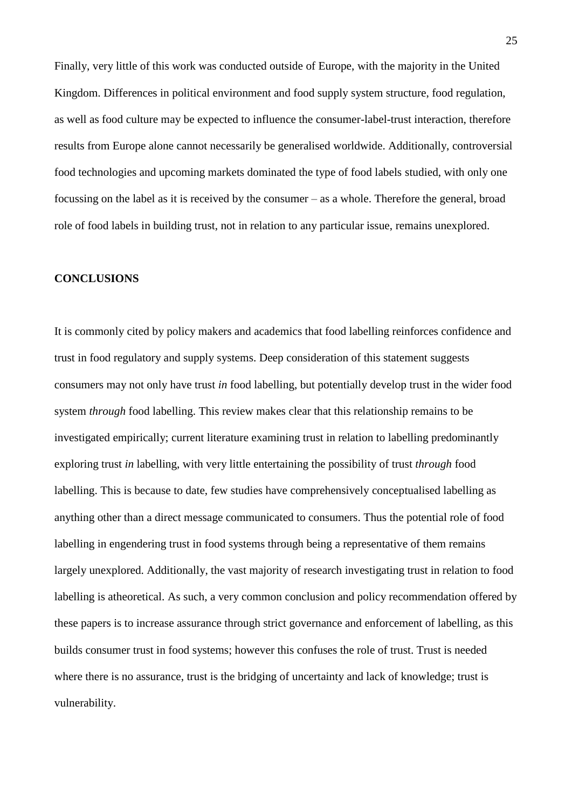Finally, very little of this work was conducted outside of Europe, with the majority in the United Kingdom. Differences in political environment and food supply system structure, food regulation, as well as food culture may be expected to influence the consumer-label-trust interaction, therefore results from Europe alone cannot necessarily be generalised worldwide. Additionally, controversial food technologies and upcoming markets dominated the type of food labels studied, with only one focussing on the label as it is received by the consumer – as a whole. Therefore the general, broad role of food labels in building trust, not in relation to any particular issue, remains unexplored.

# **CONCLUSIONS**

It is commonly cited by policy makers and academics that food labelling reinforces confidence and trust in food regulatory and supply systems. Deep consideration of this statement suggests consumers may not only have trust *in* food labelling, but potentially develop trust in the wider food system *through* food labelling. This review makes clear that this relationship remains to be investigated empirically; current literature examining trust in relation to labelling predominantly exploring trust *in* labelling, with very little entertaining the possibility of trust *through* food labelling. This is because to date, few studies have comprehensively conceptualised labelling as anything other than a direct message communicated to consumers. Thus the potential role of food labelling in engendering trust in food systems through being a representative of them remains largely unexplored. Additionally, the vast majority of research investigating trust in relation to food labelling is atheoretical. As such, a very common conclusion and policy recommendation offered by these papers is to increase assurance through strict governance and enforcement of labelling, as this builds consumer trust in food systems; however this confuses the role of trust. Trust is needed where there is no assurance, trust is the bridging of uncertainty and lack of knowledge; trust is vulnerability.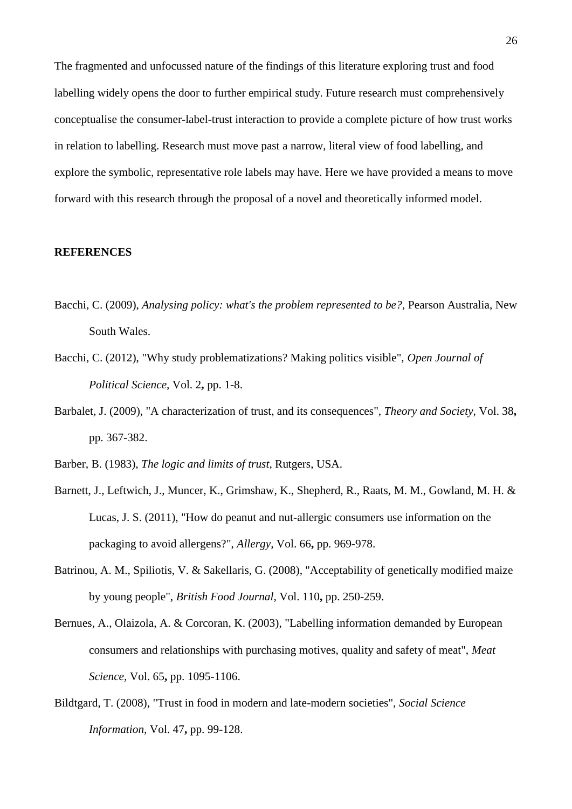The fragmented and unfocussed nature of the findings of this literature exploring trust and food labelling widely opens the door to further empirical study. Future research must comprehensively conceptualise the consumer-label-trust interaction to provide a complete picture of how trust works in relation to labelling. Research must move past a narrow, literal view of food labelling, and explore the symbolic, representative role labels may have. Here we have provided a means to move forward with this research through the proposal of a novel and theoretically informed model.

## **REFERENCES**

- <span id="page-26-3"></span>Bacchi, C. (2009), *Analysing policy: what's the problem represented to be?*, Pearson Australia, New South Wales.
- <span id="page-26-4"></span>Bacchi, C. (2012), "Why study problematizations? Making politics visible", *Open Journal of Political Science,* Vol. 2**,** pp. 1-8.
- <span id="page-26-2"></span>Barbalet, J. (2009), "A characterization of trust, and its consequences", *Theory and Society,* Vol. 38**,** pp. 367-382.
- <span id="page-26-1"></span>Barber, B. (1983), *The logic and limits of trust,* Rutgers, USA.
- <span id="page-26-7"></span>Barnett, J., Leftwich, J., Muncer, K., Grimshaw, K., Shepherd, R., Raats, M. M., Gowland, M. H. & Lucas, J. S. (2011), "How do peanut and nut-allergic consumers use information on the packaging to avoid allergens?", *Allergy,* Vol. 66**,** pp. 969-978.
- <span id="page-26-6"></span>Batrinou, A. M., Spiliotis, V. & Sakellaris, G. (2008), "Acceptability of genetically modified maize by young people", *British Food Journal,* Vol. 110**,** pp. 250-259.
- <span id="page-26-5"></span>Bernues, A., Olaizola, A. & Corcoran, K. (2003), "Labelling information demanded by European consumers and relationships with purchasing motives, quality and safety of meat", *Meat Science,* Vol. 65**,** pp. 1095-1106.
- <span id="page-26-0"></span>Bildtgard, T. (2008), "Trust in food in modern and late-modern societies", *Social Science Information,* Vol. 47**,** pp. 99-128.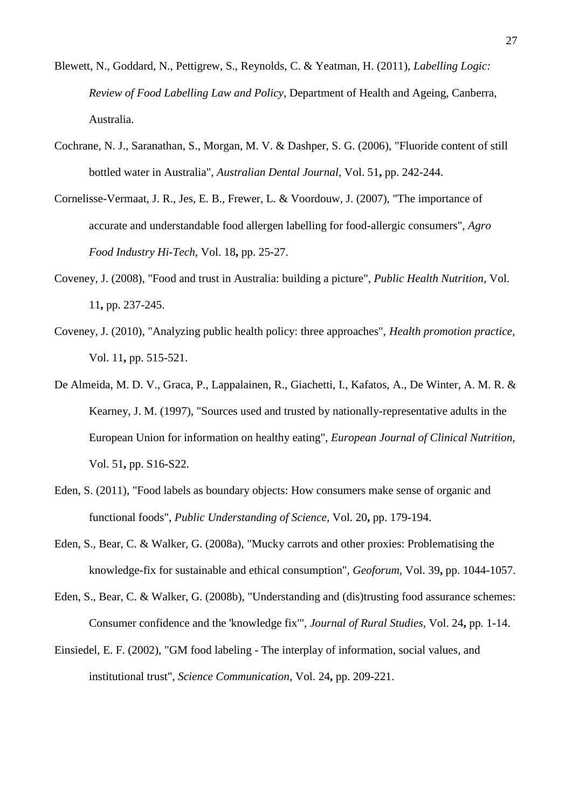- <span id="page-27-1"></span>Blewett, N., Goddard, N., Pettigrew, S., Reynolds, C. & Yeatman, H. (2011), *Labelling Logic: Review of Food Labelling Law and Policy,* Department of Health and Ageing, Canberra, Australia.
- <span id="page-27-4"></span>Cochrane, N. J., Saranathan, S., Morgan, M. V. & Dashper, S. G. (2006), "Fluoride content of still bottled water in Australia", *Australian Dental Journal,* Vol. 51**,** pp. 242-244.
- <span id="page-27-7"></span>Cornelisse-Vermaat, J. R., Jes, E. B., Frewer, L. & Voordouw, J. (2007), "The importance of accurate and understandable food allergen labelling for food-allergic consumers", *Agro Food Industry Hi-Tech,* Vol. 18**,** pp. 25-27.
- <span id="page-27-3"></span>Coveney, J. (2008), "Food and trust in Australia: building a picture", *Public Health Nutrition,* Vol. 11**,** pp. 237-245.
- <span id="page-27-5"></span>Coveney, J. (2010), "Analyzing public health policy: three approaches", *Health promotion practice,* Vol. 11**,** pp. 515-521.
- <span id="page-27-8"></span>De Almeida, M. D. V., Graca, P., Lappalainen, R., Giachetti, I., Kafatos, A., De Winter, A. M. R. & Kearney, J. M. (1997), "Sources used and trusted by nationally-representative adults in the European Union for information on healthy eating", *European Journal of Clinical Nutrition,* Vol. 51**,** pp. S16-S22.
- <span id="page-27-9"></span>Eden, S. (2011), "Food labels as boundary objects: How consumers make sense of organic and functional foods", *Public Understanding of Science,* Vol. 20**,** pp. 179-194.
- <span id="page-27-2"></span>Eden, S., Bear, C. & Walker, G. (2008a), "Mucky carrots and other proxies: Problematising the knowledge-fix for sustainable and ethical consumption", *Geoforum,* Vol. 39**,** pp. 1044-1057.
- <span id="page-27-6"></span>Eden, S., Bear, C. & Walker, G. (2008b), "Understanding and (dis)trusting food assurance schemes: Consumer confidence and the 'knowledge fix'", *Journal of Rural Studies,* Vol. 24**,** pp. 1-14.
- <span id="page-27-0"></span>Einsiedel, E. F. (2002), "GM food labeling - The interplay of information, social values, and institutional trust", *Science Communication,* Vol. 24**,** pp. 209-221.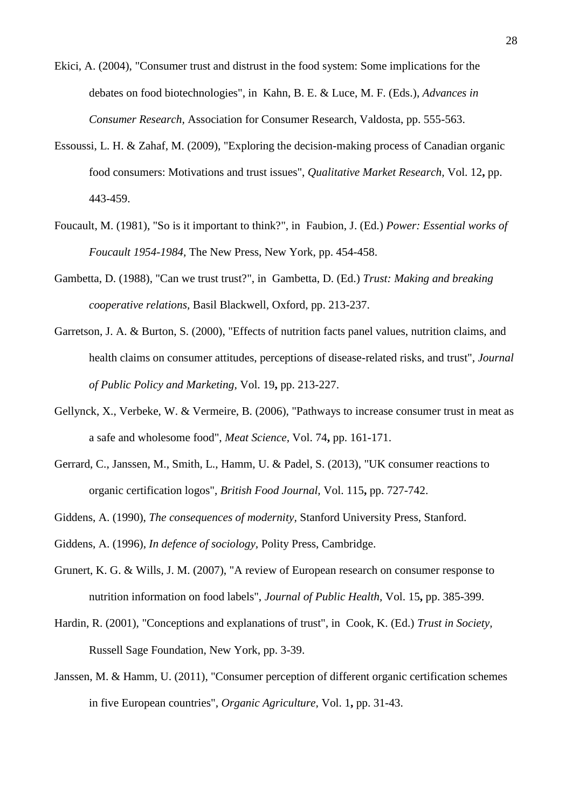- <span id="page-28-1"></span>Ekici, A. (2004), "Consumer trust and distrust in the food system: Some implications for the debates on food biotechnologies", in Kahn, B. E. & Luce, M. F. (Eds.), *Advances in Consumer Research,* Association for Consumer Research, Valdosta, pp. 555-563.
- <span id="page-28-7"></span>Essoussi, L. H. & Zahaf, M. (2009), "Exploring the decision-making process of Canadian organic food consumers: Motivations and trust issues", *Qualitative Market Research,* Vol. 12**,** pp. 443-459.
- <span id="page-28-4"></span>Foucault, M. (1981), "So is it important to think?", in Faubion, J. (Ed.) *Power: Essential works of Foucault 1954-1984,* The New Press, New York, pp. 454-458.
- <span id="page-28-10"></span>Gambetta, D. (1988), "Can we trust trust?", in Gambetta, D. (Ed.) *Trust: Making and breaking cooperative relations,* Basil Blackwell, Oxford, pp. 213-237.
- <span id="page-28-9"></span>Garretson, J. A. & Burton, S. (2000), "Effects of nutrition facts panel values, nutrition claims, and health claims on consumer attitudes, perceptions of disease-related risks, and trust", *Journal of Public Policy and Marketing,* Vol. 19**,** pp. 213-227.
- <span id="page-28-5"></span>Gellynck, X., Verbeke, W. & Vermeire, B. (2006), "Pathways to increase consumer trust in meat as a safe and wholesome food", *Meat Science,* Vol. 74**,** pp. 161-171.
- <span id="page-28-6"></span>Gerrard, C., Janssen, M., Smith, L., Hamm, U. & Padel, S. (2013), "UK consumer reactions to organic certification logos", *British Food Journal,* Vol. 115**,** pp. 727-742.
- <span id="page-28-2"></span>Giddens, A. (1990), *The consequences of modernity,* Stanford University Press, Stanford.

<span id="page-28-11"></span>Giddens, A. (1996), *In defence of sociology,* Polity Press, Cambridge.

- <span id="page-28-0"></span>Grunert, K. G. & Wills, J. M. (2007), "A review of European research on consumer response to nutrition information on food labels", *Journal of Public Health,* Vol. 15**,** pp. 385-399.
- <span id="page-28-3"></span>Hardin, R. (2001), "Conceptions and explanations of trust", in Cook, K. (Ed.) *Trust in Society,* Russell Sage Foundation, New York, pp. 3-39.
- <span id="page-28-8"></span>Janssen, M. & Hamm, U. (2011), "Consumer perception of different organic certification schemes in five European countries", *Organic Agriculture,* Vol. 1**,** pp. 31-43.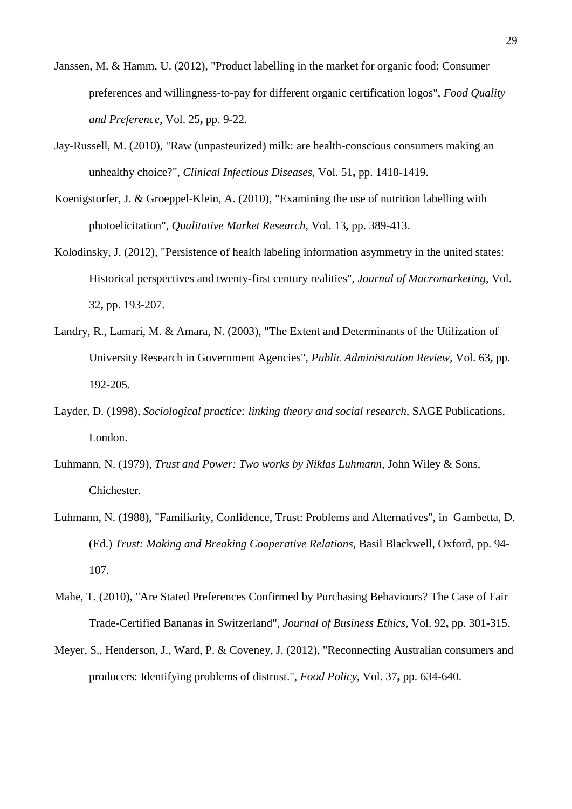- <span id="page-29-6"></span>Janssen, M. & Hamm, U. (2012), "Product labelling in the market for organic food: Consumer preferences and willingness-to-pay for different organic certification logos", *Food Quality and Preference,* Vol. 25**,** pp. 9-22.
- <span id="page-29-1"></span>Jay-Russell, M. (2010), "Raw (unpasteurized) milk: are health-conscious consumers making an unhealthy choice?", *Clinical Infectious Diseases,* Vol. 51**,** pp. 1418-1419.
- <span id="page-29-7"></span>Koenigstorfer, J. & Groeppel-Klein, A. (2010), "Examining the use of nutrition labelling with photoelicitation", *Qualitative Market Research,* Vol. 13**,** pp. 389-413.
- <span id="page-29-0"></span>Kolodinsky, J. (2012), "Persistence of health labeling information asymmetry in the united states: Historical perspectives and twenty-first century realities", *Journal of Macromarketing,* Vol. 32**,** pp. 193-207.
- <span id="page-29-9"></span>Landry, R., Lamari, M. & Amara, N. (2003), "The Extent and Determinants of the Utilization of University Research in Government Agencies", *Public Administration Review,* Vol. 63**,** pp. 192-205.
- <span id="page-29-8"></span>Layder, D. (1998), *Sociological practice: linking theory and social research*, SAGE Publications, London.
- <span id="page-29-2"></span>Luhmann, N. (1979), *Trust and Power: Two works by Niklas Luhmann,* John Wiley & Sons, Chichester.
- <span id="page-29-4"></span>Luhmann, N. (1988), "Familiarity, Confidence, Trust: Problems and Alternatives", in Gambetta, D. (Ed.) *Trust: Making and Breaking Cooperative Relations,* Basil Blackwell, Oxford, pp. 94- 107.
- <span id="page-29-5"></span>Mahe, T. (2010), "Are Stated Preferences Confirmed by Purchasing Behaviours? The Case of Fair Trade-Certified Bananas in Switzerland", *Journal of Business Ethics,* Vol. 92**,** pp. 301-315.
- <span id="page-29-3"></span>Meyer, S., Henderson, J., Ward, P. & Coveney, J. (2012), "Reconnecting Australian consumers and producers: Identifying problems of distrust.", *Food Policy,* Vol. 37**,** pp. 634-640.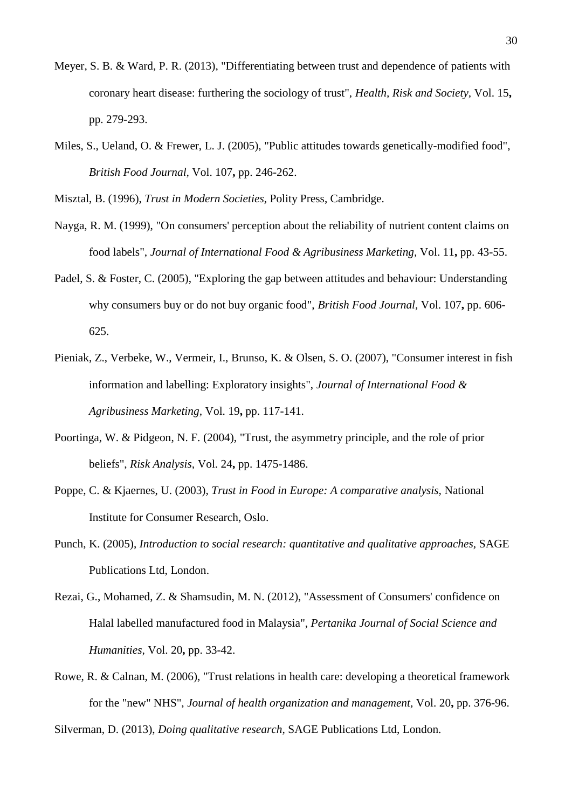- <span id="page-30-10"></span>Meyer, S. B. & Ward, P. R. (2013), "Differentiating between trust and dependence of patients with coronary heart disease: furthering the sociology of trust", *Health, Risk and Society,* Vol. 15**,** pp. 279-293.
- <span id="page-30-7"></span>Miles, S., Ueland, O. & Frewer, L. J. (2005), "Public attitudes towards genetically-modified food", *British Food Journal,* Vol. 107**,** pp. 246-262.

<span id="page-30-1"></span>Misztal, B. (1996), *Trust in Modern Societies,* Polity Press, Cambridge.

- <span id="page-30-8"></span>Nayga, R. M. (1999), "On consumers' perception about the reliability of nutrient content claims on food labels", *Journal of International Food & Agribusiness Marketing,* Vol. 11**,** pp. 43-55.
- <span id="page-30-4"></span>Padel, S. & Foster, C. (2005), "Exploring the gap between attitudes and behaviour: Understanding why consumers buy or do not buy organic food", *British Food Journal,* Vol. 107**,** pp. 606- 625.
- <span id="page-30-9"></span>Pieniak, Z., Verbeke, W., Vermeir, I., Brunso, K. & Olsen, S. O. (2007), "Consumer interest in fish information and labelling: Exploratory insights", *Journal of International Food & Agribusiness Marketing,* Vol. 19**,** pp. 117-141.
- <span id="page-30-6"></span>Poortinga, W. & Pidgeon, N. F. (2004), "Trust, the asymmetry principle, and the role of prior beliefs", *Risk Analysis,* Vol. 24**,** pp. 1475-1486.
- <span id="page-30-3"></span>Poppe, C. & Kjaernes, U. (2003), *Trust in Food in Europe: A comparative analysis,* National Institute for Consumer Research, Oslo.
- <span id="page-30-0"></span>Punch, K. (2005), *Introduction to social research: quantitative and qualitative approaches,* SAGE Publications Ltd, London.
- <span id="page-30-5"></span>Rezai, G., Mohamed, Z. & Shamsudin, M. N. (2012), "Assessment of Consumers' confidence on Halal labelled manufactured food in Malaysia", *Pertanika Journal of Social Science and Humanities,* Vol. 20**,** pp. 33-42.
- <span id="page-30-11"></span><span id="page-30-2"></span>Rowe, R. & Calnan, M. (2006), "Trust relations in health care: developing a theoretical framework for the "new" NHS", *Journal of health organization and management,* Vol. 20**,** pp. 376-96. Silverman, D. (2013), *Doing qualitative research,* SAGE Publications Ltd, London.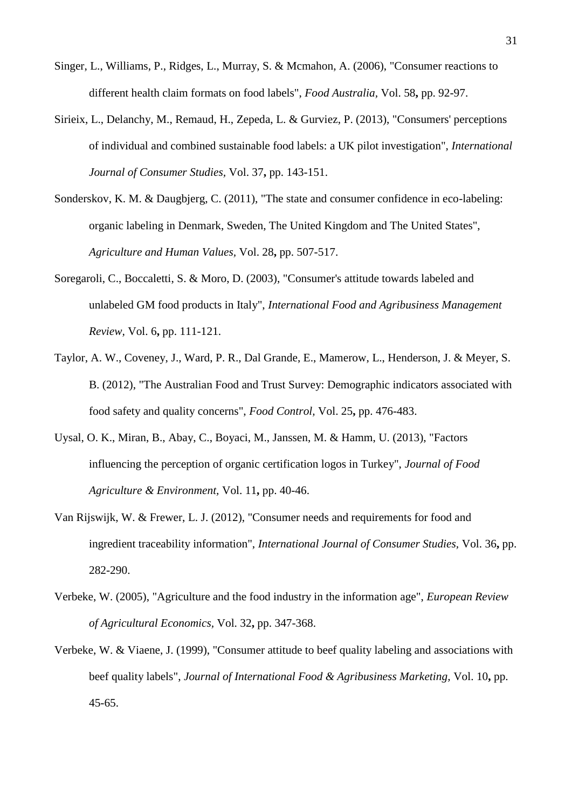- <span id="page-31-7"></span>Singer, L., Williams, P., Ridges, L., Murray, S. & Mcmahon, A. (2006), "Consumer reactions to different health claim formats on food labels", *Food Australia,* Vol. 58**,** pp. 92-97.
- <span id="page-31-1"></span>Sirieix, L., Delanchy, M., Remaud, H., Zepeda, L. & Gurviez, P. (2013), "Consumers' perceptions of individual and combined sustainable food labels: a UK pilot investigation", *International Journal of Consumer Studies,* Vol. 37**,** pp. 143-151.
- <span id="page-31-2"></span>Sonderskov, K. M. & Daugbjerg, C. (2011), "The state and consumer confidence in eco-labeling: organic labeling in Denmark, Sweden, The United Kingdom and The United States", *Agriculture and Human Values,* Vol. 28**,** pp. 507-517.
- <span id="page-31-6"></span>Soregaroli, C., Boccaletti, S. & Moro, D. (2003), "Consumer's attitude towards labeled and unlabeled GM food products in Italy", *International Food and Agribusiness Management Review,* Vol. 6**,** pp. 111-121.
- <span id="page-31-3"></span>Taylor, A. W., Coveney, J., Ward, P. R., Dal Grande, E., Mamerow, L., Henderson, J. & Meyer, S. B. (2012), "The Australian Food and Trust Survey: Demographic indicators associated with food safety and quality concerns", *Food Control,* Vol. 25**,** pp. 476-483.
- <span id="page-31-5"></span>Uysal, O. K., Miran, B., Abay, C., Boyaci, M., Janssen, M. & Hamm, U. (2013), "Factors influencing the perception of organic certification logos in Turkey", *Journal of Food Agriculture & Environment,* Vol. 11**,** pp. 40-46.
- <span id="page-31-8"></span>Van Rijswijk, W. & Frewer, L. J. (2012), "Consumer needs and requirements for food and ingredient traceability information", *International Journal of Consumer Studies,* Vol. 36**,** pp. 282-290.
- <span id="page-31-0"></span>Verbeke, W. (2005), "Agriculture and the food industry in the information age", *European Review of Agricultural Economics,* Vol. 32**,** pp. 347-368.
- <span id="page-31-4"></span>Verbeke, W. & Viaene, J. (1999), "Consumer attitude to beef quality labeling and associations with beef quality labels", *Journal of International Food & Agribusiness Marketing,* Vol. 10**,** pp. 45-65.